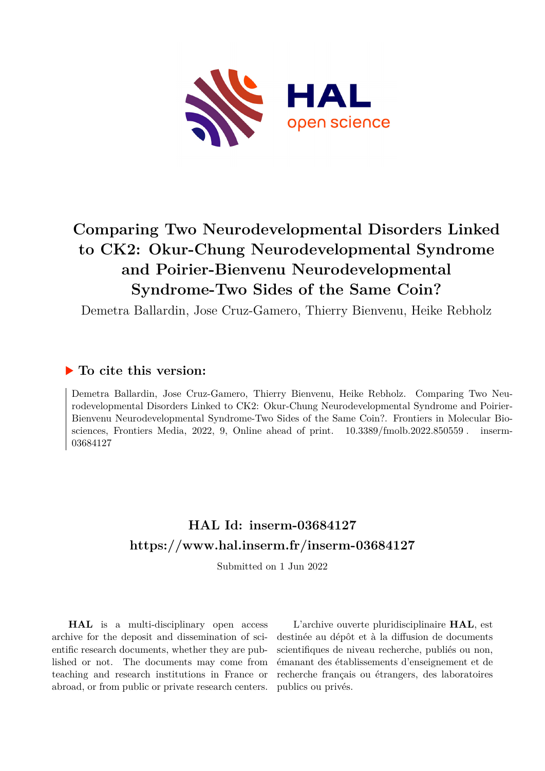

# **Comparing Two Neurodevelopmental Disorders Linked to CK2: Okur-Chung Neurodevelopmental Syndrome and Poirier-Bienvenu Neurodevelopmental Syndrome-Two Sides of the Same Coin?**

Demetra Ballardin, Jose Cruz-Gamero, Thierry Bienvenu, Heike Rebholz

## **To cite this version:**

Demetra Ballardin, Jose Cruz-Gamero, Thierry Bienvenu, Heike Rebholz. Comparing Two Neurodevelopmental Disorders Linked to CK2: Okur-Chung Neurodevelopmental Syndrome and Poirier-Bienvenu Neurodevelopmental Syndrome-Two Sides of the Same Coin?. Frontiers in Molecular Biosciences, Frontiers Media, 2022, 9, Online ahead of print.  $10.3389/fmolb.2022.850559$ . inserm-03684127

## **HAL Id: inserm-03684127 <https://www.hal.inserm.fr/inserm-03684127>**

Submitted on 1 Jun 2022

**HAL** is a multi-disciplinary open access archive for the deposit and dissemination of scientific research documents, whether they are published or not. The documents may come from teaching and research institutions in France or abroad, or from public or private research centers.

L'archive ouverte pluridisciplinaire **HAL**, est destinée au dépôt et à la diffusion de documents scientifiques de niveau recherche, publiés ou non, émanant des établissements d'enseignement et de recherche français ou étrangers, des laboratoires publics ou privés.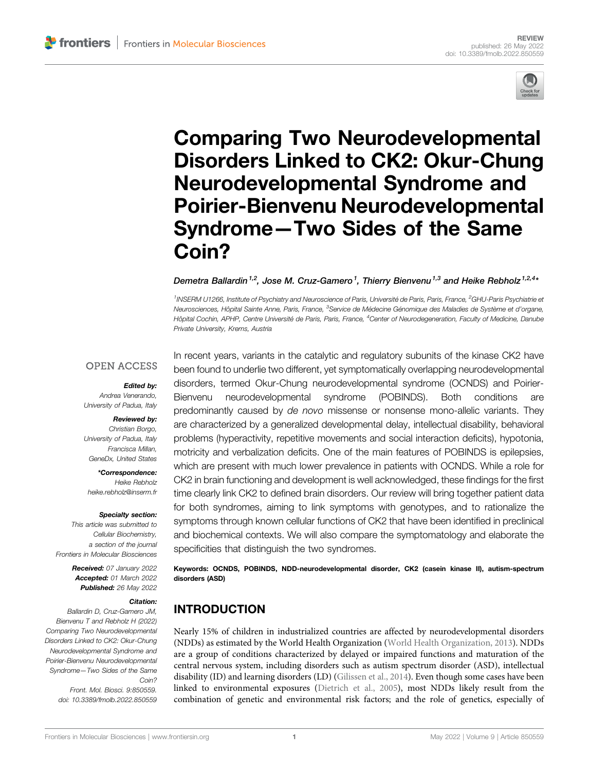

# [Comparing Two Neurodevelopmental](https://www.frontiersin.org/articles/10.3389/fmolb.2022.850559/full) [Disorders Linked to CK2: Okur-Chung](https://www.frontiersin.org/articles/10.3389/fmolb.2022.850559/full) [Neurodevelopmental Syndrome and](https://www.frontiersin.org/articles/10.3389/fmolb.2022.850559/full) [Poirier-Bienvenu Neurodevelopmental](https://www.frontiersin.org/articles/10.3389/fmolb.2022.850559/full) Syndrome—[Two Sides of the Same](https://www.frontiersin.org/articles/10.3389/fmolb.2022.850559/full) [Coin?](https://www.frontiersin.org/articles/10.3389/fmolb.2022.850559/full)

Demetra Ballardin <sup>1,2</sup>, Jose M. Cruz-Gamero<sup>1</sup>, Thierry Bienvenu <sup>1,3</sup> and Heike Rebholz <sup>1,2,4</sup>\*

<sup>1</sup>INSERM U1266, Institute of Psychiatry and Neuroscience of Paris, Université de Paris, Paris, France, <sup>2</sup>GHU-Paris Psychiatrie et Neurosciences, Hôpital Sainte Anne, Paris, France, <sup>3</sup>Service de Médecine Génomique des Maladies de Système et d'organe, Hôpital Cochin, APHP, Centre Université de Paris, Paris, France, <sup>4</sup>Center of Neurodegeneration, Faculty of Medicine, Danube Private University, Krems, Austria

#### **OPEN ACCESS**

#### Edited by:

Andrea Venerando, University of Padua, Italy

#### Reviewed by:

Christian Borgo, University of Padua, Italy Francisca Millan, GeneDx, United States

\*Correspondence: Heike Rebholz [heike.rebholz@inserm.fr](mailto:heike.rebholz@inserm.fr)

#### Specialty section:

This article was submitted to Cellular Biochemistry, a section of the journal Frontiers in Molecular Biosciences

> Received: 07 January 2022 Accepted: 01 March 2022 Published: 26 May 2022

#### Citation:

Ballardin D, Cruz-Gamero JM, Bienvenu T and Rebholz H (2022) Comparing Two Neurodevelopmental Disorders Linked to CK2: Okur-Chung Neurodevelopmental Syndrome and Poirier-Bienvenu Neurodevelopmental Syndrome—Two Sides of the Same Coin? Front. Mol. Biosci. 9:850559. doi: [10.3389/fmolb.2022.850559](https://doi.org/10.3389/fmolb.2022.850559)

In recent years, variants in the catalytic and regulatory subunits of the kinase CK2 have been found to underlie two different, yet symptomatically overlapping neurodevelopmental disorders, termed Okur-Chung neurodevelopmental syndrome (OCNDS) and Poirier-Bienvenu neurodevelopmental syndrome (POBINDS). Both conditions are predominantly caused by de novo missense or nonsense mono-allelic variants. They are characterized by a generalized developmental delay, intellectual disability, behavioral problems (hyperactivity, repetitive movements and social interaction deficits), hypotonia, motricity and verbalization deficits. One of the main features of POBINDS is epilepsies, which are present with much lower prevalence in patients with OCNDS. While a role for CK2 in brain functioning and development is well acknowledged, these findings for the first time clearly link CK2 to defined brain disorders. Our review will bring together patient data for both syndromes, aiming to link symptoms with genotypes, and to rationalize the symptoms through known cellular functions of CK2 that have been identified in preclinical and biochemical contexts. We will also compare the symptomatology and elaborate the specificities that distinguish the two syndromes.

Keywords: OCNDS, POBINDS, NDD-neurodevelopmental disorder, CK2 (casein kinase II), autism-spectrum disorders (ASD)

## INTRODUCTION

Nearly 15% of children in industrialized countries are affected by neurodevelopmental disorders (NDDs) as estimated by the World Health Organization (World Health Organization, 2013). NDDs are a group of conditions characterized by delayed or impaired functions and maturation of the central nervous system, including disorders such as autism spectrum disorder (ASD), intellectual disability (ID) and learning disorders (LD) (Gilissen et al., 2014). Even though some cases have been linked to environmental exposures (Dietrich et al., 2005), most NDDs likely result from the combination of genetic and environmental risk factors; and the role of genetics, especially of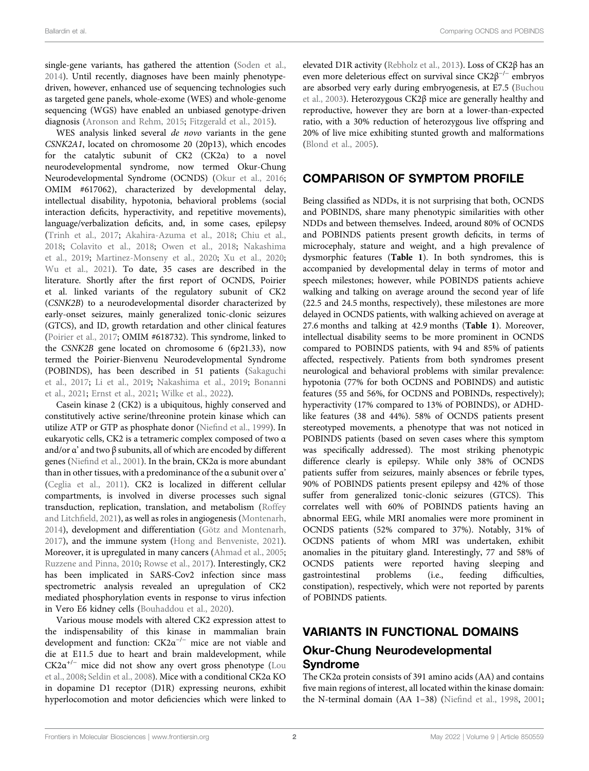single-gene variants, has gathered the attention (Soden et al., 2014). Until recently, diagnoses have been mainly phenotypedriven, however, enhanced use of sequencing technologies such as targeted gene panels, whole-exome (WES) and whole-genome sequencing (WGS) have enabled an unbiased genotype-driven diagnosis (Aronson and Rehm, 2015; Fitzgerald et al., 2015).

WES analysis linked several de novo variants in the gene CSNK2A1, located on chromosome 20 (20p13), which encodes for the catalytic subunit of CK2 (CK2α) to a novel neurodevelopmental syndrome, now termed Okur-Chung Neurodevelopmental Syndrome (OCNDS) (Okur et al., 2016; OMIM #617062), characterized by developmental delay, intellectual disability, hypotonia, behavioral problems (social interaction deficits, hyperactivity, and repetitive movements), language/verbalization deficits, and, in some cases, epilepsy (Trinh et al., 2017; Akahira-Azuma et al., 2018; Chiu et al., 2018; Colavito et al., 2018; Owen et al., 2018; Nakashima et al., 2019; Martinez-Monseny et al., 2020; Xu et al., 2020; Wu et al., 2021). To date, 35 cases are described in the literature. Shortly after the first report of OCNDS, Poirier et al. linked variants of the regulatory subunit of CK2 (CSNK2B) to a neurodevelopmental disorder characterized by early-onset seizures, mainly generalized tonic-clonic seizures (GTCS), and ID, growth retardation and other clinical features (Poirier et al., 2017; OMIM #618732). This syndrome, linked to the CSNK2B gene located on chromosome 6 (6p21.33), now termed the Poirier-Bienvenu Neurodevelopmental Syndrome (POBINDS), has been described in 51 patients (Sakaguchi et al., 2017; Li et al., 2019; Nakashima et al., 2019; Bonanni et al., 2021; Ernst et al., 2021; Wilke et al., 2022).

Casein kinase 2 (CK2) is a ubiquitous, highly conserved and constitutively active serine/threonine protein kinase which can utilize ATP or GTP as phosphate donor (Niefind et al., 1999). In eukaryotic cells, CK2 is a tetrameric complex composed of two α and/or α' and two β subunits, all of which are encoded by different genes (Niefind et al., 2001). In the brain, CK2α is more abundant than in other tissues, with a predominance of the α subunit over α' (Ceglia et al., 2011). CK2 is localized in different cellular compartments, is involved in diverse processes such signal transduction, replication, translation, and metabolism (Roffey and Litchfield, 2021), as well as roles in angiogenesis (Montenarh, 2014), development and differentiation (Götz and Montenarh, 2017), and the immune system (Hong and Benveniste, 2021). Moreover, it is upregulated in many cancers (Ahmad et al., 2005; Ruzzene and Pinna, 2010; Rowse et al., 2017). Interestingly, CK2 has been implicated in SARS-Cov2 infection since mass spectrometric analysis revealed an upregulation of CK2 mediated phosphorylation events in response to virus infection in Vero E6 kidney cells (Bouhaddou et al., 2020).

Various mouse models with altered CK2 expression attest to the indispensability of this kinase in mammalian brain development and function:  $CK2\alpha^{-/-}$  mice are not viable and die at E11.5 due to heart and brain maldevelopment, while  $CK2\alpha^{+/-}$  mice did not show any overt gross phenotype (Lou et al., 2008; Seldin et al., 2008). Mice with a conditional CK2α KO in dopamine D1 receptor (D1R) expressing neurons, exhibit hyperlocomotion and motor deficiencies which were linked to elevated D1R activity (Rebholz et al., 2013). Loss of CK2β has an even more deleterious effect on survival since  $CK2\beta^{-/-}$  embryos are absorbed very early during embryogenesis, at E7.5 (Buchou et al., 2003). Heterozygous CK2β mice are generally healthy and reproductive, however they are born at a lower-than-expected ratio, with a 30% reduction of heterozygous live offspring and 20% of live mice exhibiting stunted growth and malformations (Blond et al., 2005).

## COMPARISON OF SYMPTOM PROFILE

Being classified as NDDs, it is not surprising that both, OCNDS and POBINDS, share many phenotypic similarities with other NDDs and between themselves. Indeed, around 80% of OCNDS and POBINDS patients present growth deficits, in terms of microcephaly, stature and weight, and a high prevalence of dysmorphic features (Table 1). In both syndromes, this is accompanied by developmental delay in terms of motor and speech milestones; however, while POBINDS patients achieve walking and talking on average around the second year of life (22.5 and 24.5 months, respectively), these milestones are more delayed in OCNDS patients, with walking achieved on average at 27.6 months and talking at 42.9 months (Table 1). Moreover, intellectual disability seems to be more prominent in OCNDS compared to POBINDS patients, with 94 and 85% of patients affected, respectively. Patients from both syndromes present neurological and behavioral problems with similar prevalence: hypotonia (77% for both OCDNS and POBINDS) and autistic features (55 and 56%, for OCDNS and POBINDs, respectively); hyperactivity (17% compared to 13% of POBINDS), or ADHDlike features (38 and 44%). 58% of OCNDS patients present stereotyped movements, a phenotype that was not noticed in POBINDS patients (based on seven cases where this symptom was specifically addressed). The most striking phenotypic difference clearly is epilepsy. While only 38% of OCNDS patients suffer from seizures, mainly absences or febrile types, 90% of POBINDS patients present epilepsy and 42% of those suffer from generalized tonic-clonic seizures (GTCS). This correlates well with 60% of POBINDS patients having an abnormal EEG, while MRI anomalies were more prominent in OCNDS patients (52% compared to 37%). Notably, 31% of OCDNS patients of whom MRI was undertaken, exhibit anomalies in the pituitary gland. Interestingly, 77 and 58% of OCNDS patients were reported having sleeping and gastrointestinal problems (i.e., feeding difficulties, constipation), respectively, which were not reported by parents of POBINDS patients.

## VARIANTS IN FUNCTIONAL DOMAINS

## Okur-Chung Neurodevelopmental Syndrome

The CK2α protein consists of 391 amino acids (AA) and contains five main regions of interest, all located within the kinase domain: the N-terminal domain (AA 1–38) (Niefind et al., 1998, 2001;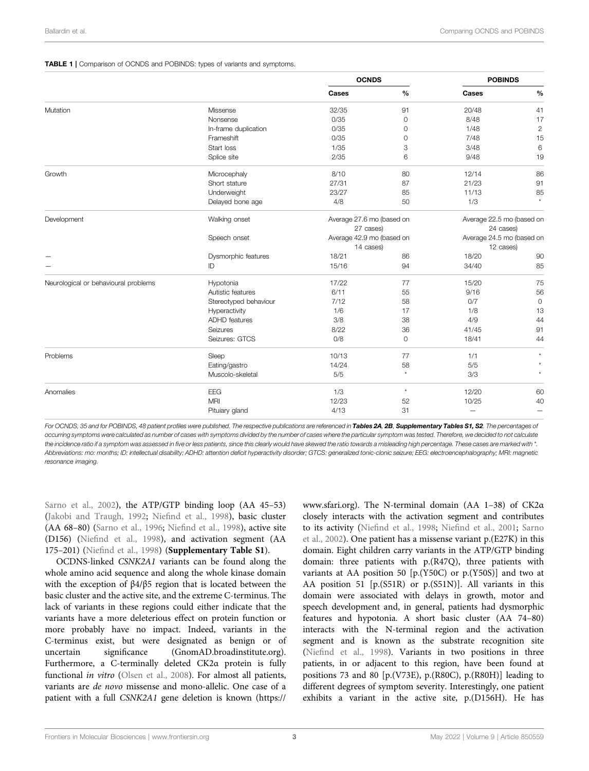#### TABLE 1 | Comparison of OCNDS and POBINDS: types of variants and symptoms.

|                                      |                       | <b>OCNDS</b>                           |           | <b>POBINDS</b>                         |                |  |  |  |
|--------------------------------------|-----------------------|----------------------------------------|-----------|----------------------------------------|----------------|--|--|--|
|                                      |                       | Cases                                  | $\%$      | Cases                                  | $\frac{0}{0}$  |  |  |  |
| Mutation                             | Missense              | 32/35                                  | 91        | 20/48                                  | 41             |  |  |  |
|                                      | Nonsense              | 0/35                                   | 0         | 8/48                                   | 17             |  |  |  |
|                                      | In-frame duplication  | 0/35                                   | 0         | 1/48                                   | $\overline{c}$ |  |  |  |
|                                      | Frameshift            | 0/35                                   | 0         | 7/48                                   | 15             |  |  |  |
|                                      | Start loss            | 1/35                                   | 3         | 3/48                                   | $\,6$          |  |  |  |
|                                      | Splice site           | 2/35                                   | 6         | 9/48                                   | 19             |  |  |  |
| Growth                               | Microcephaly          | 8/10                                   | 80        | 12/14                                  | 86             |  |  |  |
|                                      | Short stature         | 27/31                                  | 87        | 21/23                                  | 91             |  |  |  |
|                                      | Underweight           | 23/27                                  | 85        | 11/13                                  | 85             |  |  |  |
|                                      | Delayed bone age      | 4/8                                    | 50        | 1/3                                    | $\star$        |  |  |  |
| Development                          | Walking onset         | Average 27.6 mo (based on<br>27 cases) |           | Average 22.5 mo (based on<br>24 cases) |                |  |  |  |
|                                      | Speech onset          | Average 42.9 mo (based on              |           | Average 24.5 mo (based on              |                |  |  |  |
|                                      |                       | 14 cases)                              | 12 cases) |                                        |                |  |  |  |
|                                      | Dysmorphic features   | 18/21                                  | 86        | 18/20                                  | 90             |  |  |  |
|                                      | ID                    | 15/16                                  | 94        | 34/40                                  | 85             |  |  |  |
| Neurological or behavioural problems | Hypotonia             | 17/22                                  | 77        | 15/20                                  | 75             |  |  |  |
|                                      | Autistic features     | 6/11                                   | 55        | 9/16                                   | 56             |  |  |  |
|                                      | Stereotyped behaviour | 7/12                                   | 58        | O/7                                    | $\circ$        |  |  |  |
|                                      | Hyperactivity         | 1/6                                    | 17        | 1/8                                    | 13             |  |  |  |
|                                      | <b>ADHD</b> features  | 3/8                                    | 38        | 4/9                                    | 44             |  |  |  |
|                                      | Seizures              | 8/22                                   | 36        | 41/45                                  | 91             |  |  |  |
|                                      | Seizures: GTCS        | 0/8                                    | 0         | 18/41                                  | 44             |  |  |  |
| Problems                             | Sleep                 | 10/13                                  | 77        | 1/1                                    | $\star$        |  |  |  |
|                                      | Eating/gastro         | 14/24                                  | 58        | 5/5                                    |                |  |  |  |
|                                      | Muscolo-skeletal      | 5/5                                    | $\star$   | 3/3                                    |                |  |  |  |
| Anomalies                            | EEG                   | 1/3                                    | $\star$   | 12/20                                  | 60             |  |  |  |
|                                      | <b>MRI</b>            | 12/23                                  | 52        | 10/25                                  | 40             |  |  |  |
|                                      | Pituiary gland        | 4/13                                   | 31        | -                                      | —              |  |  |  |

For OCNDS, 35 and for POBINDS, 48 patient profiles were published. The respective publications are referenced in Tables 2A, 2B, Supplementary Tables S1, S2. The percentages of occurring symptoms were calculated as number of cases with symptoms divided by the number of cases where the particular symptom was tested. Therefore, we decided to not calculate the incidence ratio if a symptom was assessed in five or less patients, since this clearly would have skewed the ratio towards a misleading high percentage. These cases are marked with \*. Abbreviations: mo: months; ID: intellectual disability; ADHD: attention deficit hyperactivity disorder; GTCS: generalized tonic-clonic seizure; EEG: electroencephalography; MRI: magnetic resonance imaging.

Sarno et al., 2002), the ATP/GTP binding loop (AA 45–53) (Jakobi and Traugh, 1992; Niefind et al., 1998), basic cluster (AA 68–80) (Sarno et al., 1996; Niefind et al., 1998), active site (D156) (Niefind et al., 1998), and activation segment (AA 175–201) (Niefind et al., 1998) (Supplementary Table S1).

OCDNS-linked CSNK2A1 variants can be found along the whole amino acid sequence and along the whole kinase domain with the exception of β4/β5 region that is located between the basic cluster and the active site, and the extreme C-terminus. The lack of variants in these regions could either indicate that the variants have a more deleterious effect on protein function or more probably have no impact. Indeed, variants in the C-terminus exist, but were designated as benign or of uncertain significance ([GnomAD.broadinstitute.org\)](http://GnomAD.broadinstitute.org). Furthermore, a C-terminally deleted CK2α protein is fully functional *in vitro* (Olsen et al., 2008). For almost all patients, variants are de novo missense and mono-allelic. One case of a patient with a full CSNK2A1 gene deletion is known ([https://](https://www.sfari.org)

[www.sfari.org](https://www.sfari.org)). The N-terminal domain (AA 1–38) of CK2α closely interacts with the activation segment and contributes to its activity (Niefind et al., 1998; Niefind et al., 2001; Sarno et al., 2002). One patient has a missense variant p.(E27K) in this domain. Eight children carry variants in the ATP/GTP binding domain: three patients with p.(R47Q), three patients with variants at AA position 50 [p.(Y50C) or p.(Y50S)] and two at AA position 51 [p.(S51R) or p.(S51N)]. All variants in this domain were associated with delays in growth, motor and speech development and, in general, patients had dysmorphic features and hypotonia. A short basic cluster (AA 74–80) interacts with the N-terminal region and the activation segment and is known as the substrate recognition site (Niefind et al., 1998). Variants in two positions in three patients, in or adjacent to this region, have been found at positions 73 and 80 [p.(V73E), p.(R80C), p.(R80H)] leading to different degrees of symptom severity. Interestingly, one patient exhibits a variant in the active site, p.(D156H). He has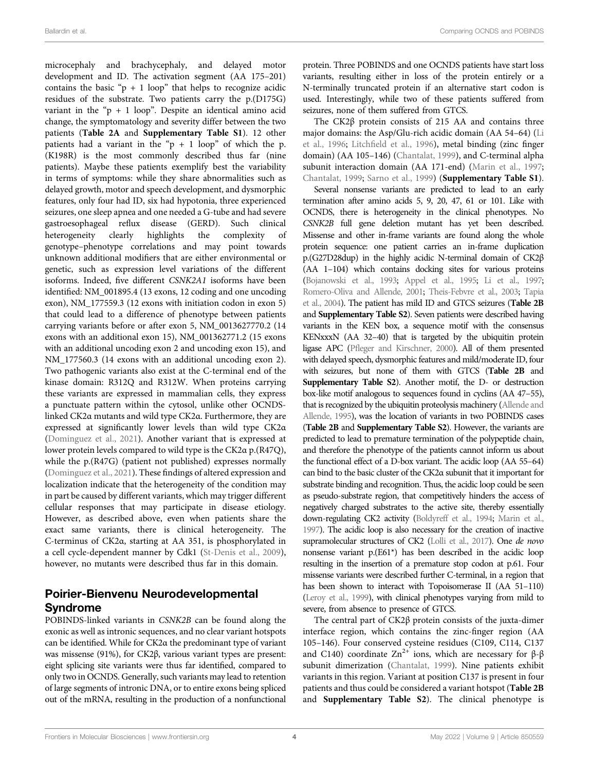microcephaly and brachycephaly, and delayed motor development and ID. The activation segment (AA 175–201) contains the basic " $p + 1$  loop" that helps to recognize acidic residues of the substrate. Two patients carry the p.(D175G) variant in the " $p + 1$  loop". Despite an identical amino acid change, the symptomatology and severity differ between the two patients (Table 2A and Supplementary Table S1). 12 other patients had a variant in the " $p + 1$  loop" of which the p. (K198R) is the most commonly described thus far (nine patients). Maybe these patients exemplify best the variability in terms of symptoms: while they share abnormalities such as delayed growth, motor and speech development, and dysmorphic features, only four had ID, six had hypotonia, three experienced seizures, one sleep apnea and one needed a G-tube and had severe gastroesophageal reflux disease (GERD). Such clinical heterogeneity clearly highlights the complexity of genotype–phenotype correlations and may point towards unknown additional modifiers that are either environmental or genetic, such as expression level variations of the different isoforms. Indeed, five different CSNK2A1 isoforms have been identified: NM\_001895.4 (13 exons, 12 coding and one uncoding exon), NM\_177559.3 (12 exons with initiation codon in exon 5) that could lead to a difference of phenotype between patients carrying variants before or after exon 5, NM\_0013627770.2 (14 exons with an additional exon 15), NM\_001362771.2 (15 exons with an additional uncoding exon 2 and uncoding exon 15), and NM\_177560.3 (14 exons with an additional uncoding exon 2). Two pathogenic variants also exist at the C-terminal end of the kinase domain: R312Q and R312W. When proteins carrying these variants are expressed in mammalian cells, they express a punctuate pattern within the cytosol, unlike other OCNDSlinked CK2α mutants and wild type CK2α. Furthermore, they are expressed at significantly lower levels than wild type CK2α (Dominguez et al., 2021). Another variant that is expressed at lower protein levels compared to wild type is the CK2α p.(R47Q), while the p.(R47G) (patient not published) expresses normally (Dominguez et al., 2021). These findings of altered expression and localization indicate that the heterogeneity of the condition may in part be caused by different variants, which may trigger different cellular responses that may participate in disease etiology. However, as described above, even when patients share the exact same variants, there is clinical heterogeneity. The C-terminus of CK2α, starting at AA 351, is phosphorylated in a cell cycle-dependent manner by Cdk1 (St-Denis et al., 2009), however, no mutants were described thus far in this domain.

### Poirier-Bienvenu Neurodevelopmental Syndrome

POBINDS-linked variants in CSNK2B can be found along the exonic as well as intronic sequences, and no clear variant hotspots can be identified. While for CK2α the predominant type of variant was missense (91%), for CK2β, various variant types are present: eight splicing site variants were thus far identified, compared to only two in OCNDS. Generally, such variants may lead to retention of large segments of intronic DNA, or to entire exons being spliced out of the mRNA, resulting in the production of a nonfunctional

protein. Three POBINDS and one OCNDS patients have start loss variants, resulting either in loss of the protein entirely or a N-terminally truncated protein if an alternative start codon is used. Interestingly, while two of these patients suffered from seizures, none of them suffered from GTCS.

The CK2β protein consists of 215 AA and contains three major domains: the Asp/Glu-rich acidic domain (AA 54–64) (Li et al., 1996; Litchfield et al., 1996), metal binding (zinc finger domain) (AA 105–146) (Chantalat, 1999), and C-terminal alpha subunit interaction domain (AA 171-end) (Marin et al., 1997; Chantalat, 1999; Sarno et al., 1999) (Supplementary Table S1).

Several nonsense variants are predicted to lead to an early termination after amino acids 5, 9, 20, 47, 61 or 101. Like with OCNDS, there is heterogeneity in the clinical phenotypes. No CSNK2B full gene deletion mutant has yet been described. Missense and other in-frame variants are found along the whole protein sequence: one patient carries an in-frame duplication p.(G27D28dup) in the highly acidic N-terminal domain of CK2β (AA 1–104) which contains docking sites for various proteins (Bojanowski et al., 1993; Appel et al., 1995; Li et al., 1997; Romero-Oliva and Allende, 2001; Theis-Febvre et al., 2003; Tapia et al., 2004). The patient has mild ID and GTCS seizures (Table 2B and Supplementary Table S2). Seven patients were described having variants in the KEN box, a sequence motif with the consensus KENxxxN (AA 32–40) that is targeted by the ubiquitin protein ligase APC (Pfleger and Kirschner, 2000). All of them presented with delayed speech, dysmorphic features and mild/moderate ID, four with seizures, but none of them with GTCS (Table 2B and Supplementary Table S2). Another motif, the D- or destruction box-like motif analogous to sequences found in cyclins (AA 47–55), that is recognized by the ubiquitin proteolysis machinery (Allende and Allende, 1995), was the location of variants in two POBINDS cases (Table 2B and Supplementary Table S2). However, the variants are predicted to lead to premature termination of the polypeptide chain, and therefore the phenotype of the patients cannot inform us about the functional effect of a D-box variant. The acidic loop (AA 55–64) can bind to the basic cluster of the CK2α subunit that it important for substrate binding and recognition. Thus, the acidic loop could be seen as pseudo-substrate region, that competitively hinders the access of negatively charged substrates to the active site, thereby essentially down-regulating CK2 activity (Boldyreff et al., 1994; Marin et al., 1997). The acidic loop is also necessary for the creation of inactive supramolecular structures of CK2 (Lolli et al., 2017). One de novo nonsense variant p.(E61\*) has been described in the acidic loop resulting in the insertion of a premature stop codon at p.61. Four missense variants were described further C-terminal, in a region that has been shown to interact with Topoisomerase II (AA 51-110) (Leroy et al., 1999), with clinical phenotypes varying from mild to severe, from absence to presence of GTCS.

The central part of CK2β protein consists of the juxta-dimer interface region, which contains the zinc-finger region (AA 105–146). Four conserved cysteine residues (C109, C114, C137 and C140) coordinate  $Zn^{2+}$  ions, which are necessary for β-β subunit dimerization (Chantalat, 1999). Nine patients exhibit variants in this region. Variant at position C137 is present in four patients and thus could be considered a variant hotspot (Table 2B and Supplementary Table S2). The clinical phenotype is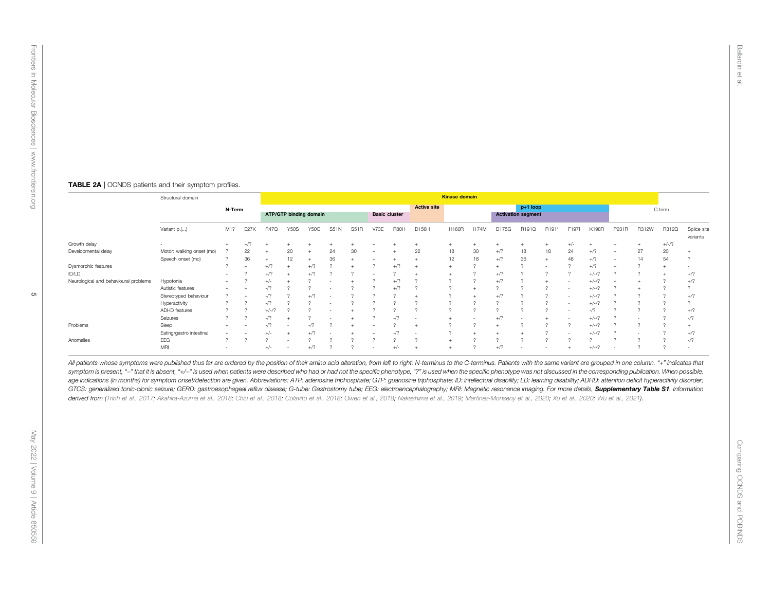#### TABLE 2A | OCNDS patients and their symptom profiles.

|                                       | Structural domain         |                          |             | <b>Kinase domain</b> |                        |             |             |      |        |                      |                    |           |              |        |                                         |          |          |         |                          |                |         |                          |  |  |
|---------------------------------------|---------------------------|--------------------------|-------------|----------------------|------------------------|-------------|-------------|------|--------|----------------------|--------------------|-----------|--------------|--------|-----------------------------------------|----------|----------|---------|--------------------------|----------------|---------|--------------------------|--|--|
|                                       |                           |                          | N-Term      |                      | ATP/GTP binding domain |             |             |      |        | <b>Basic cluster</b> | <b>Active site</b> |           |              |        | $p+1$ loop<br><b>Activation segment</b> |          |          |         |                          |                | C-term  |                          |  |  |
|                                       | Variant p.()              | M1?                      | <b>E27K</b> | <b>R47Q</b>          | <b>Y50S</b>            | <b>Y50C</b> | <b>S51N</b> | S51R | V73E   | R80H                 | D156H              | H160R     | <b>I174M</b> | D175G  | R191Q                                   | R191*    | F197I    | K198R   | P231R                    | R312W          | R312Q   | Splice site<br>variants  |  |  |
| Growth delay                          |                           |                          | $+/?$       |                      |                        |             |             |      |        |                      |                    | $\ddot{}$ |              |        |                                         |          | $+/-$    |         |                          | $\overline{+}$ | $+/-/?$ |                          |  |  |
| Developmental delay                   | Motor: walking onset (mo) |                          | 22          |                      | 20                     |             | 24          | 30   |        |                      | 22                 | 18        | 30           | $+/?$  | 18                                      | 18       | 24       | $+$ /?  |                          | 27             | 20      |                          |  |  |
|                                       | Speech onset (mo)         |                          | 36          |                      | 12                     |             | 36          |      |        |                      |                    | 12        | 18           | $+$ /? | 36                                      | $+$      | 48       | $+/?$   |                          | 14             | 54      | $\Omega$                 |  |  |
| Dysmorphic features                   |                           |                          |             | $+/-$                |                        | $+$ /?      |             |      |        | $+ / ?$              |                    |           |              |        |                                         |          |          | $+$ /?  |                          |                |         | $\overline{\phantom{a}}$ |  |  |
| ID/LD                                 |                           |                          |             | $+$ /?               |                        | $+/?$       |             |      |        |                      |                    |           |              | $+/?$  |                                         | $\sim$   | $\sim$   | $+/-/?$ | $\sim$                   |                |         | $+/?$                    |  |  |
| Neurological and behavioural problems | Hypotonia                 |                          |             | $+/-$                |                        |             |             |      |        | $+/?$                |                    | $\Omega$  |              | $+/?$  |                                         |          | <b>.</b> | $+/-/?$ |                          |                |         | $+$ /?                   |  |  |
|                                       | Autistic features         |                          |             | $-17$                |                        |             |             |      |        | $+/?$                | $\sim$             | $\sim$    |              |        |                                         |          | <b>.</b> | $+/-/?$ |                          |                |         | $\Omega$                 |  |  |
|                                       | Stereotyped behaviour     |                          |             |                      |                        | $+$ /?      |             |      |        |                      |                    | $\sim$    |              | $+$ /? |                                         |          | ۰        | $+/-/?$ |                          |                |         | $+$ /?                   |  |  |
|                                       | Hyperactivity             | $\Omega$                 |             | $-17$                |                        |             |             |      |        |                      |                    | $\sim$    |              |        |                                         |          | ۰        | $+/-/2$ | $\sim$                   |                |         | $\Omega$                 |  |  |
|                                       | ADHD features             | $\Omega$                 | $\sim$      | $+/-/?$              |                        |             |             |      |        |                      | $\sim$             | $\sim$    |              |        |                                         |          | ۰        | $-17$   | $\sim$                   | $\Omega$       |         | $+$ /?                   |  |  |
|                                       | Seizures                  | $\Omega$                 |             | $-17$                |                        |             |             |      |        | $-17$                |                    |           |              | $+$ /? |                                         |          | ۰        | $+/-/?$ |                          |                |         | $-1/2$                   |  |  |
| Problems                              | Sleep                     |                          |             |                      |                        |             |             |      |        |                      |                    |           |              |        |                                         |          | $\sim$   | $+/-/?$ |                          |                |         |                          |  |  |
|                                       | Eating/gastro intestinal  |                          |             | +/-                  |                        | $+$ /?      |             |      |        | $-17$                |                    | $\sim$    |              |        |                                         |          |          | $+/-/?$ |                          |                |         | $+/?$                    |  |  |
| Anomalies                             | EEG                       |                          |             |                      |                        |             |             |      |        |                      | $\Omega$           |           |              |        |                                         | $\Omega$ | $\sim$   |         | $\sim$                   | $\Omega$       |         | $-1/2$                   |  |  |
|                                       | MRI                       | $\overline{\phantom{a}}$ |             | $+/-$                | $\sim$                 | $+/?$       | $\sim$      |      | $\sim$ | $+/-$                |                    |           |              | $+$ /? | $\sim$                                  | $\sim$   |          | $+/-/?$ | $\overline{\phantom{a}}$ |                |         | $\sim$                   |  |  |

All patients whose symptoms were published thus far are ordered by the position of their amino acid alteration, from left to right: N-terminus to the C-terminus. Patients with the same variant are grouped in one column. "+ symptom is present, "-" that it is absent, "+/-" is used when patients were described who had or had not the specific phenotype, "?" is used when the specific phenotype was not discussed in the corresponding publication. W age indications (in months) for symptom onset/detection are given. Abbreviations: ATP: adenosine triphosphate; GTP: guanosine triphosphate; ID: intellectual disability; LD: learning disability; ADHD: attention deficit hype GTCS: generalized tonic-clonic seizure; GERD: gastroesophageal reflux disease; G-tube: Gastrostomy tube; EEG: electroencephalography; MRI: Magnetic resonance imaging. For more details, Supplementary Table S1. Information derived from (Trinh et al., 2017; Akahira-Azuma et al., 2018; Chiu et al., 2018; Colavito et al., 2018; Owen et al., 2018; Nakashima et al., 2019; Martinez-Monseny et al., 2020; Xu et al., 2020; Wu et al., 2021).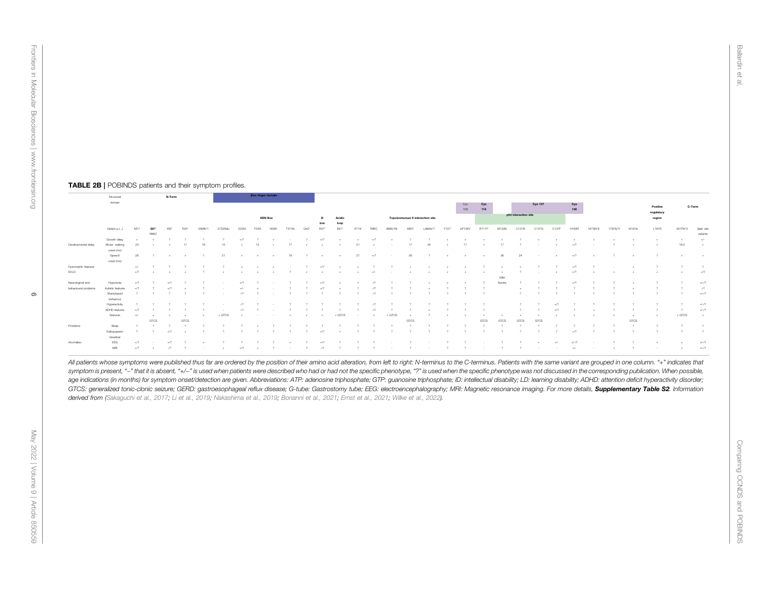#### TABLE 2B | POBINDS patients and their symptom profiles.

|                            | Structural<br>domain        |       |                                   | N-Term   |                          |                     |                                                                                                                                                                                                                                                                                                                                              |       | Zinc finger domain     |                |                                                         |               |                          |                                                                                                                    |                          |          |                                   |                          |                          |                          |               |                          |               |                          |                                                                                                                                                                                                                                  |       |                    |                     |                      |                  |                         |                |                     |
|----------------------------|-----------------------------|-------|-----------------------------------|----------|--------------------------|---------------------|----------------------------------------------------------------------------------------------------------------------------------------------------------------------------------------------------------------------------------------------------------------------------------------------------------------------------------------------|-------|------------------------|----------------|---------------------------------------------------------|---------------|--------------------------|--------------------------------------------------------------------------------------------------------------------|--------------------------|----------|-----------------------------------|--------------------------|--------------------------|--------------------------|---------------|--------------------------|---------------|--------------------------|----------------------------------------------------------------------------------------------------------------------------------------------------------------------------------------------------------------------------------|-------|--------------------|---------------------|----------------------|------------------|-------------------------|----------------|---------------------|
|                            |                             |       |                                   |          |                          |                     |                                                                                                                                                                                                                                                                                                                                              |       |                        |                |                                                         |               |                          |                                                                                                                    |                          |          |                                   |                          |                          |                          | Cys<br>109    | Cys<br>114               |               |                          | <b>Cys 137</b>                                                                                                                                                                                                                   |       | Cys<br>140         |                     |                      |                  | Positive                | C-Term         |                     |
|                            |                             |       |                                   |          |                          |                     |                                                                                                                                                                                                                                                                                                                                              |       |                        | <b>KEN Box</b> |                                                         |               | box                      | Acidio<br>loop                                                                                                     |                          |          | Topoisomerase II interaction site |                          |                          |                          |               |                          |               |                          | p53 interaction site                                                                                                                                                                                                             |       |                    |                     |                      |                  | regulatory<br>region    |                |                     |
|                            | Variant p.()                |       |                                   |          |                          |                     |                                                                                                                                                                                                                                                                                                                                              |       | E34S                   | N35K           |                                                         | 042"          | R47*                     | E61*                                                                                                               |                          |          |                                   |                          |                          |                          | nF108V        | <b>R111P</b>             | M132%         | C137R                    | C137G                                                                                                                                                                                                                            | C137F |                    |                     |                      |                  | L187R                   | 207Ffs*3       | Solic site          |
|                            |                             |       | R86C                              |          |                          |                     |                                                                                                                                                                                                                                                                                                                                              |       |                        |                |                                                         |               |                          |                                                                                                                    |                          |          |                                   |                          |                          |                          |               |                          |               |                          |                                                                                                                                                                                                                                  |       |                    |                     |                      |                  |                         |                | variants            |
|                            | Growth delay                |       | $+$                               | $\gamma$ | $\overline{?}$           | $\mathbf{r}$        | $-2$                                                                                                                                                                                                                                                                                                                                         | $+77$ |                        |                |                                                         |               |                          | $2 \rightarrow \cdots \rightarrow \cdots \rightarrow 2 \rightarrow 2 \rightarrow \cdots$                           |                          | $+77$    | $-$                               | $-7$                     |                          |                          |               |                          |               |                          | $\sim$ 2 and a set of the set of the set of $\sim$ 2 and 3 and 3 and 3 and 3 and 3 and 3 and 3 and 3 and 3 and 3 and 3 and 3 and 3 and 3 and 3 and 3 and 3 and 3 and 3 and 3 and 3 and 3 and 3 and 3 and 3 and 3 and 3 and 3 and |       | <b>State State</b> | <b>Contractor</b>   | $+$                  | $-$              | $+$                     | $+$            | $+/-$               |
| Developmental delay        | Motor: walking              |       | $23 + 17$                         |          |                          | 18                  | 15                                                                                                                                                                                                                                                                                                                                           |       |                        |                |                                                         |               |                          |                                                                                                                    |                          |          |                                   |                          |                          |                          |               |                          |               |                          | $17$ $24$ $+$ $17$ $+$ $17$ $7$ $  +$                                                                                                                                                                                            |       | $+77$              | <b>Contractor</b>   | $\overline{2}$       | $+$              | $+$                     | 16.5           | $-$                 |
|                            | onset (mo)                  |       |                                   |          |                          |                     |                                                                                                                                                                                                                                                                                                                                              |       |                        |                |                                                         |               |                          |                                                                                                                    |                          |          |                                   |                          |                          |                          |               |                          |               |                          |                                                                                                                                                                                                                                  |       |                    |                     |                      |                  |                         |                |                     |
|                            | Speech                      |       |                                   |          |                          |                     | $28$ $2$ $*$ $*$ $21$ $*$ $*$ $18$ $2$ $*$ $*$ $21$ $*$ $*$                                                                                                                                                                                                                                                                                  |       |                        |                |                                                         |               |                          |                                                                                                                    |                          |          |                                   |                          |                          |                          |               |                          |               |                          | $36$ $24$ $+$ $+$ $+$ $36$ $24$ $ +$                                                                                                                                                                                             |       | $+7$               | $\sim$ $+$          | $\sim$ $\sim$ $\sim$ | $-$              | $\overline{2}$          | $\sim$         | <b>State Street</b> |
|                            | onset (mo)                  |       |                                   |          |                          |                     |                                                                                                                                                                                                                                                                                                                                              |       |                        |                |                                                         |               |                          |                                                                                                                    |                          |          |                                   |                          |                          |                          |               |                          |               |                          |                                                                                                                                                                                                                                  |       |                    |                     |                      |                  |                         |                |                     |
| <b>Dysmorphic features</b> |                             |       |                                   |          |                          |                     |                                                                                                                                                                                                                                                                                                                                              |       |                        |                |                                                         |               |                          |                                                                                                                    |                          |          |                                   |                          |                          |                          |               |                          |               |                          |                                                                                                                                                                                                                                  |       |                    |                     |                      |                  | $\sim$                  | $\sim$         | $\overline{?}$      |
| <b>IDALD</b>               |                             | $+77$ |                                   |          |                          |                     | . The contract of the contract of the contract of the contract of the contract of the contract of $\mathcal{M}$                                                                                                                                                                                                                              |       |                        |                |                                                         |               |                          |                                                                                                                    |                          |          |                                   |                          |                          |                          |               |                          |               |                          |                                                                                                                                                                                                                                  |       |                    | $\sim$              | $-$                  | <b>CONTINUES</b> | $+$                     | $+$            | $+17$               |
|                            |                             |       |                                   |          |                          |                     |                                                                                                                                                                                                                                                                                                                                              |       |                        |                |                                                         |               |                          |                                                                                                                    |                          |          |                                   |                          |                          |                          |               |                          | Mid           |                          |                                                                                                                                                                                                                                  |       |                    |                     |                      |                  |                         |                |                     |
| Neurological and           | Hynntonia                   | $+72$ |                                   | $+17$    |                          |                     | <b>State Street</b>                                                                                                                                                                                                                                                                                                                          | $+72$ |                        |                |                                                         |               |                          |                                                                                                                    |                          | $-17$    | $\overline{?}$                    | $\overline{?}$           | the contract of the con- |                          | $ +$          | $\sim$                   | Severe        | $\overline{\phantom{a}}$ |                                                                                                                                                                                                                                  |       | $+77$              |                     |                      | <b>ALC</b>       |                         |                | $+1-17$             |
| behavioural problem        | Autistic features           |       |                                   | $+17$    | $-1$                     | $\sim$ 2            | the control of the con-                                                                                                                                                                                                                                                                                                                      |       |                        |                | $\psi$ + $\psi$ 2 2                                     |               | $+77$                    | <b>Contractor</b>                                                                                                  | $\sim$ 2                 | $-72$    | $\overline{?}$                    | $\overline{?}$           | $+$                      | $\sim$ 2                 | $\sim$ $\sim$ | $\overline{z}$           |               | <b>H</b>                 |                                                                                                                                                                                                                                  |       |                    |                     |                      |                  |                         |                | $-17$               |
|                            | Stereotyped<br>behaviour    |       |                                   | $\sim$   | $\sim$ 2                 | $\sim$ 2            | $\cdots$ $\cdots$ $\cdots$ $\cdots$ $\cdots$ $\cdots$ $\cdots$ $\cdots$ $\cdots$ $\cdots$ $\cdots$ $\cdots$ $\cdots$ $\cdots$ $\cdots$ $\cdots$ $\cdots$ $\cdots$ $\cdots$ $\cdots$ $\cdots$ $\cdots$ $\cdots$ $\cdots$ $\cdots$ $\cdots$ $\cdots$ $\cdots$ $\cdots$ $\cdots$ $\cdots$ $\cdots$ $\cdots$ $\cdots$ $\cdots$ $\cdots$ $\cdots$ |       |                        |                |                                                         |               |                          | $\overline{2}$                                                                                                     | $\overline{2}$           | $-17$    |                                   | $\overline{\phantom{a}}$ |                          | $\overline{\phantom{a}}$ |               |                          |               |                          |                                                                                                                                                                                                                                  |       |                    |                     |                      |                  |                         |                | $+1 - 17$           |
|                            | Hyperactivity               |       |                                   |          |                          |                     | <b>State Street</b>                                                                                                                                                                                                                                                                                                                          | $-72$ | $\sim$ 2 $\sim$ $\sim$ |                | $\sim$                                                  | $\gamma$      | $\overline{\phantom{a}}$ | $\gamma$                                                                                                           |                          | $-17$    |                                   |                          |                          |                          |               |                          |               |                          |                                                                                                                                                                                                                                  | $+17$ |                    |                     |                      |                  |                         |                | $+1-17$             |
|                            | ADHD features               | $+12$ |                                   |          |                          |                     |                                                                                                                                                                                                                                                                                                                                              |       |                        |                |                                                         |               | $\sim$                   | $\rightarrow$                                                                                                      |                          | $-72$    |                                   |                          | $\sim$                   |                          |               |                          |               |                          |                                                                                                                                                                                                                                  | $+77$ |                    |                     |                      |                  |                         |                | $+1 - 17$           |
|                            | Seizures                    |       |                                   | $+$      | $+$                      | $+$                 | $+$ GTCS                                                                                                                                                                                                                                                                                                                                     |       |                        |                |                                                         |               |                          | the contract of the contract of the contract of the second second second second second second second second second | the contract of the con- |          | $+$ GTCS                          | $\rightarrow$            |                          | $\ddot{\phantom{1}}$     | $+$           | 14                       | $\rightarrow$ | $+$                      |                                                                                                                                                                                                                                  |       |                    | $\sim$              | $+$                  | $+$              | $+$                     | $+$ GTCS       | <b>STATE</b>        |
|                            |                             |       | GTCS                              |          | GTCS                     |                     |                                                                                                                                                                                                                                                                                                                                              |       |                        |                |                                                         |               |                          |                                                                                                                    |                          |          |                                   | GTCS                     |                          |                          |               | <b>GTCS</b>              | <b>GTCS</b>   | GTCS                     | GTCS                                                                                                                                                                                                                             |       |                    |                     |                      | GTCS             |                         |                |                     |
| Problems                   | Sleep                       |       |                                   |          |                          |                     |                                                                                                                                                                                                                                                                                                                                              |       |                        |                |                                                         |               |                          |                                                                                                                    |                          |          |                                   |                          |                          |                          |               |                          |               |                          |                                                                                                                                                                                                                                  |       |                    |                     |                      |                  |                         | $\sim$         | $\sim$              |
|                            | Eating/gastro<br>intestinal |       | $\overline{2}$ $\overline{2}$     | $+72$    | <b>Contract Contract</b> | $\sim$ 2            |                                                                                                                                                                                                                                                                                                                                              |       |                        | $\overline{?}$ | $\sim$ 2                                                | $\sim$ $\sim$ | $+77$                    | $+$                                                                                                                | $\overline{2}$           | $\sim$   |                                   |                          |                          |                          |               |                          |               |                          |                                                                                                                                                                                                                                  |       | $+77$              |                     |                      |                  |                         | $\overline{2}$ | $\sim$ 2            |
| Anomalies                  | EEG                         | $+72$ | <b>Contract Contract Contract</b> | $+72$    |                          | $\sim$              |                                                                                                                                                                                                                                                                                                                                              |       |                        |                | <b>ALC</b>                                              |               | $+77$                    |                                                                                                                    |                          |          | $\sim$                            | $\sim$ $\sim$            | the contract of the con- | $\sim$                   | $\sim$        | the contract of the con- |               |                          | <b>ALC</b>                                                                                                                                                                                                                       | h     | $+/-/?$            |                     |                      |                  | $\sim$                  |                | $+1 - 17$           |
|                            | MRI                         | $+72$ | <b>Contract Contract</b>          | $-17$    | $\sim$ 2                 | <b>State Street</b> | <b>State Street</b>                                                                                                                                                                                                                                                                                                                          | $+17$ |                        |                | $\sim$ $\sim$ $\sim$ $\sim$ $\sim$ $\sim$ $\sim$ $\sim$ |               | $-17$                    | $\overline{2}$                                                                                                     | $\sim$                   | $\gamma$ |                                   |                          |                          |                          |               |                          |               |                          |                                                                                                                                                                                                                                  |       | $+/-$              | <b>State Street</b> | <b>ALC</b>           |                  | the control of the con- | $+$            | $+1-17$             |

All patients whose symptoms were published thus far are ordered by the position of their amino acid alteration, from left to right: N-terminus to the C-terminus. Patients with the same variant are grouped in one column. "+ symptom is present, "-" that it is absent, "+/-" is used when patients were described who had or had not the specific phenotype, "?" is used when the specific phenotype was not discussed in the corresponding publication. W age indications (in months) for symptom onset/detection are given. Abbreviations: ATP: adenosine triphosphate; GTP: guanosine triphosphate; ID: intellectual disability; LD: learning disability; ADHD: attention deficit hype GTCS: generalized tonic-clonic seizure; GERD: gastroesophageal reflux disease; G-tube: Gastrostomy tube; EEG: electroencephalography; MRI: Magnetic resonance imaging. For more details, Supplementary Table S2. Information derived from (Sakaguchi et al., 2017; Li et al., 2019; Nakashima et al., 2019; Bonanni et al., 2021; Ernst et al., 2021; Wilke et al., 2022).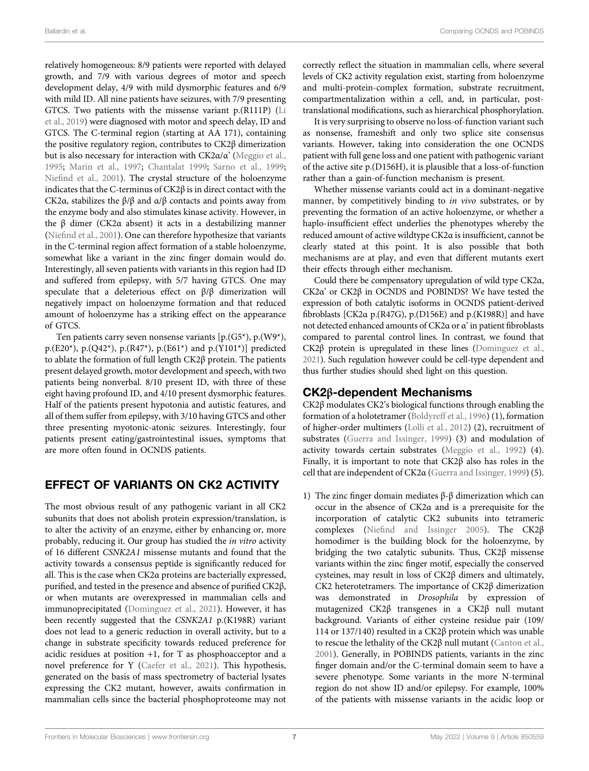relatively homogeneous: 8/9 patients were reported with delayed growth, and 7/9 with various degrees of motor and speech development delay, 4/9 with mild dysmorphic features and 6/9 with mild ID. All nine patients have seizures, with 7/9 presenting GTCS. Two patients with the missense variant p.(R111P) (Li et al., 2019) were diagnosed with motor and speech delay, ID and GTCS. The C-terminal region (starting at AA 171), containing the positive regulatory region, contributes to CK2β dimerization but is also necessary for interaction with CK2α/α' (Meggio et al., 1995; Marin et al., 1997; Chantalat 1999; Sarno et al., 1999; Niefind et al., 2001). The crystal structure of the holoenzyme indicates that the C-terminus of CK2β is in direct contact with the CK2α, stabilizes the β/β and α/β contacts and points away from the enzyme body and also stimulates kinase activity. However, in the β dimer (CK2α absent) it acts in a destabilizing manner (Niefind et al., 2001). One can therefore hypothesize that variants in the C-terminal region affect formation of a stable holoenzyme, somewhat like a variant in the zinc finger domain would do. Interestingly, all seven patients with variants in this region had ID and suffered from epilepsy, with 5/7 having GTCS. One may speculate that a deleterious effect on β/β dimerization will negatively impact on holoenzyme formation and that reduced amount of holoenzyme has a striking effect on the appearance of GTCS.

Ten patients carry seven nonsense variants [p.(G5\*), p.(W9\*), p.(E20\*), p.(Q42\*), p.(R47\*), p.(E61\*) and p.(Y101\*)] predicted to ablate the formation of full length CK2β protein. The patients present delayed growth, motor development and speech, with two patients being nonverbal. 8/10 present ID, with three of these eight having profound ID, and 4/10 present dysmorphic features. Half of the patients present hypotonia and autistic features, and all of them suffer from epilepsy, with 3/10 having GTCS and other three presenting myotonic-atonic seizures. Interestingly, four patients present eating/gastrointestinal issues, symptoms that are more often found in OCNDS patients.

## EFFECT OF VARIANTS ON CK2 ACTIVITY

The most obvious result of any pathogenic variant in all CK2 subunits that does not abolish protein expression/translation, is to alter the activity of an enzyme, either by enhancing or, more probably, reducing it. Our group has studied the in vitro activity of 16 different CSNK2A1 missense mutants and found that the activity towards a consensus peptide is significantly reduced for all. This is the case when CK2α proteins are bacterially expressed, purified, and tested in the presence and absence of purified CK2β, or when mutants are overexpressed in mammalian cells and immunoprecipitated (Dominguez et al., 2021). However, it has been recently suggested that the CSNK2A1 p.(K198R) variant does not lead to a generic reduction in overall activity, but to a change in substrate specificity towards reduced preference for acidic residues at position +1, for T as phosphoacceptor and a novel preference for Y (Caefer et al., 2021). This hypothesis, generated on the basis of mass spectrometry of bacterial lysates expressing the CK2 mutant, however, awaits confirmation in mammalian cells since the bacterial phosphoproteome may not

correctly reflect the situation in mammalian cells, where several levels of CK2 activity regulation exist, starting from holoenzyme and multi-protein-complex formation, substrate recruitment, compartmentalization within a cell, and, in particular, posttranslational modifications, such as hierarchical phosphorylation.

It is very surprising to observe no loss-of-function variant such as nonsense, frameshift and only two splice site consensus variants. However, taking into consideration the one OCNDS patient with full gene loss and one patient with pathogenic variant of the active site p.(D156H), it is plausible that a loss-of-function rather than a gain-of-function mechanism is present.

Whether missense variants could act in a dominant-negative manner, by competitively binding to in vivo substrates, or by preventing the formation of an active holoenzyme, or whether a haplo-insufficient effect underlies the phenotypes whereby the reduced amount of active wildtype CK2α is insufficient, cannot be clearly stated at this point. It is also possible that both mechanisms are at play, and even that different mutants exert their effects through either mechanism.

Could there be compensatory upregulation of wild type CK2α, CK2α' or CK2β in OCNDS and POBINDS? We have tested the expression of both catalytic isoforms in OCNDS patient-derived fibroblasts [CK2α p.(R47G), p.(D156E) and p.(K198R)] and have not detected enhanced amounts of CK2α or α' in patient fibroblasts compared to parental control lines. In contrast, we found that CK2β protein is upregulated in these lines (Dominguez et al., 2021). Such regulation however could be cell-type dependent and thus further studies should shed light on this question.

## CK2β-dependent Mechanisms

CK2β modulates CK2's biological functions through enabling the formation of a holotetramer (Boldyreff et al., 1996) (1), formation of higher-order multimers (Lolli et al., 2012) (2), recruitment of substrates (Guerra and Issinger, 1999) (3) and modulation of activity towards certain substrates (Meggio et al., 1992) (4). Finally, it is important to note that CK2β also has roles in the cell that are independent of CK2α (Guerra and Issinger, 1999) (5).

1) The zinc finger domain mediates β-β dimerization which can occur in the absence of CK2α and is a prerequisite for the incorporation of catalytic CK2 subunits into tetrameric complexes (Niefind and Issinger 2005). The CK2β homodimer is the building block for the holoenzyme, by bridging the two catalytic subunits. Thus, CK2β missense variants within the zinc finger motif, especially the conserved cysteines, may result in loss of CK2β dimers and ultimately, CK2 heterotetramers. The importance of CK2β dimerization was demonstrated in Drosophila by expression of mutagenized CK2β transgenes in a CK2β null mutant background. Variants of either cysteine residue pair (109/ 114 or 137/140) resulted in a CK2β protein which was unable to rescue the lethality of the CK2β null mutant (Canton et al., 2001). Generally, in POBINDS patients, variants in the zinc finger domain and/or the C-terminal domain seem to have a severe phenotype. Some variants in the more N-terminal region do not show ID and/or epilepsy. For example, 100% of the patients with missense variants in the acidic loop or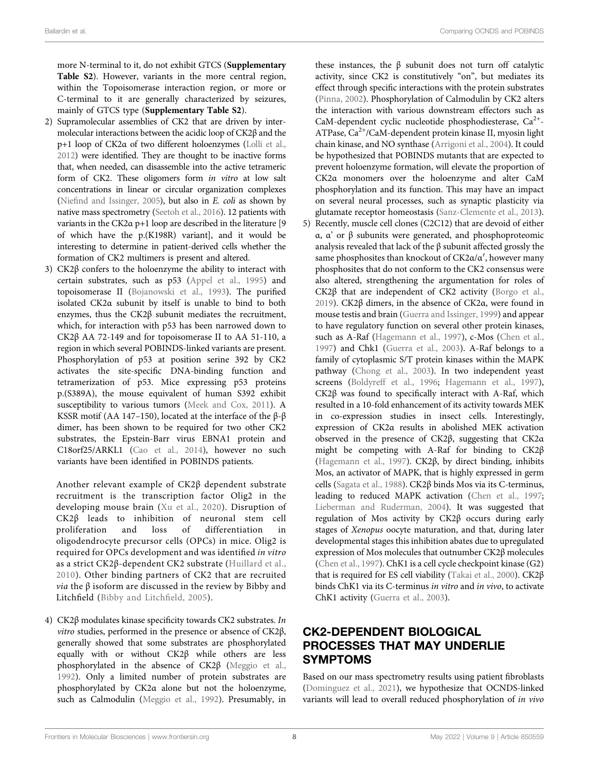more N-terminal to it, do not exhibit GTCS (Supplementary Table S2). However, variants in the more central region, within the Topoisomerase interaction region, or more or C-terminal to it are generally characterized by seizures, mainly of GTCS type (Supplementary Table S2).

- 2) Supramolecular assemblies of CK2 that are driven by intermolecular interactions between the acidic loop of CK2β and the p+1 loop of CK2α of two different holoenzymes (Lolli et al., 2012) were identified. They are thought to be inactive forms that, when needed, can disassemble into the active tetrameric form of CK2. These oligomers form in vitro at low salt concentrations in linear or circular organization complexes (Niefind and Issinger, 2005), but also in E. coli as shown by native mass spectrometry (Seetoh et al., 2016). 12 patients with variants in the CK2α p+1 loop are described in the literature [9 of which have the p.(K198R) variant], and it would be interesting to determine in patient-derived cells whether the formation of CK2 multimers is present and altered.
- 3) CK2β confers to the holoenzyme the ability to interact with certain substrates, such as p53 (Appel et al., 1995) and topoisomerase II (Bojanowski et al., 1993). The purified isolated CK2α subunit by itself is unable to bind to both enzymes, thus the CK2β subunit mediates the recruitment, which, for interaction with p53 has been narrowed down to CK2β AA 72-149 and for topoisomerase II to AA 51-110, a region in which several POBINDS-linked variants are present. Phosphorylation of p53 at position serine 392 by CK2 activates the site-specific DNA-binding function and tetramerization of p53. Mice expressing p53 proteins p.(S389A), the mouse equivalent of human S392 exhibit susceptibility to various tumors (Meek and Cox, 2011). A KSSR motif (AA 147–150), located at the interface of the β-β dimer, has been shown to be required for two other CK2 substrates, the Epstein-Barr virus EBNA1 protein and C18orf25/ARKL1 (Cao et al., 2014), however no such variants have been identified in POBINDS patients.

Another relevant example of CK2β dependent substrate recruitment is the transcription factor Olig2 in the developing mouse brain (Xu et al., 2020). Disruption of  $CK2\beta$  leads to inhibition of neuronal stem cell<br>proliferation and loss of differentiation in proliferation and loss of differentiation in oligodendrocyte precursor cells (OPCs) in mice. Olig2 is required for OPCs development and was identified in vitro as a strict CK2β-dependent CK2 substrate (Huillard et al., 2010). Other binding partners of CK2 that are recruited *via* the  $β$  isoform are discussed in the review by Bibby and Litchfield (Bibby and Litchfield, 2005).

4) CK2β modulates kinase specificity towards CK2 substrates. In vitro studies, performed in the presence or absence of CK2β, generally showed that some substrates are phosphorylated equally with or without CK2β while others are less phosphorylated in the absence of CK2β (Meggio et al., 1992). Only a limited number of protein substrates are phosphorylated by CK2α alone but not the holoenzyme, such as Calmodulin (Meggio et al., 1992). Presumably, in

these instances, the  $β$  subunit does not turn off catalytic activity, since CK2 is constitutively "on", but mediates its effect through specific interactions with the protein substrates (Pinna, 2002). Phosphorylation of Calmodulin by CK2 alters the interaction with various downstream effectors such as CaM-dependent cyclic nucleotide phosphodiesterase,  $Ca^{2+}$ -ATPase,  $Ca^{2+}/CaM$ -dependent protein kinase II, myosin light chain kinase, and NO synthase (Arrigoni et al., 2004). It could be hypothesized that POBINDS mutants that are expected to prevent holoenzyme formation, will elevate the proportion of CK2α monomers over the holoenzyme and alter CaM phosphorylation and its function. This may have an impact on several neural processes, such as synaptic plasticity via glutamate receptor homeostasis (Sanz-Clemente et al., 2013).

5) Recently, muscle cell clones (C2C12) that are devoid of either α, α' or β subunits were generated, and phosphoproteomic analysis revealed that lack of the β subunit affected grossly the same phosphosites than knockout of  $CK2\alpha/\alpha'$ , however many phosphosites that do not conform to the CK2 consensus were also altered, strengthening the argumentation for roles of CK2β that are independent of CK2 activity (Borgo et al., 2019). CK2β dimers, in the absence of CK2α, were found in mouse testis and brain (Guerra and Issinger, 1999) and appear to have regulatory function on several other protein kinases, such as A-Raf (Hagemann et al., 1997), c-Mos (Chen et al., 1997) and Chk1 (Guerra et al., 2003). A-Raf belongs to a family of cytoplasmic S/T protein kinases within the MAPK pathway (Chong et al., 2003). In two independent yeast screens (Boldyreff et al., 1996; Hagemann et al., 1997), CK2β was found to specifically interact with A-Raf, which resulted in a 10-fold enhancement of its activity towards MEK in co-expression studies in insect cells. Interestingly, expression of CK2α results in abolished MEK activation observed in the presence of CK2β, suggesting that CK2α might be competing with A-Raf for binding to CK2β (Hagemann et al., 1997). CK2β, by direct binding, inhibits Mos, an activator of MAPK, that is highly expressed in germ cells (Sagata et al., 1988). CK2β binds Mos via its C-terminus, leading to reduced MAPK activation (Chen et al., 1997; Lieberman and Ruderman, 2004). It was suggested that regulation of Mos activity by CK2β occurs during early stages of Xenopus oocyte maturation, and that, during later developmental stages this inhibition abates due to upregulated expression of Mos molecules that outnumber CK2β molecules (Chen et al., 1997). ChK1 is a cell cycle checkpoint kinase (G2) that is required for ES cell viability (Takai et al., 2000). CK2β binds ChK1 via its C-terminus in vitro and in vivo, to activate ChK1 activity (Guerra et al., 2003).

## CK2-DEPENDENT BIOLOGICAL PROCESSES THAT MAY UNDERLIE SYMPTOMS

Based on our mass spectrometry results using patient fibroblasts (Dominguez et al., 2021), we hypothesize that OCNDS-linked variants will lead to overall reduced phosphorylation of in vivo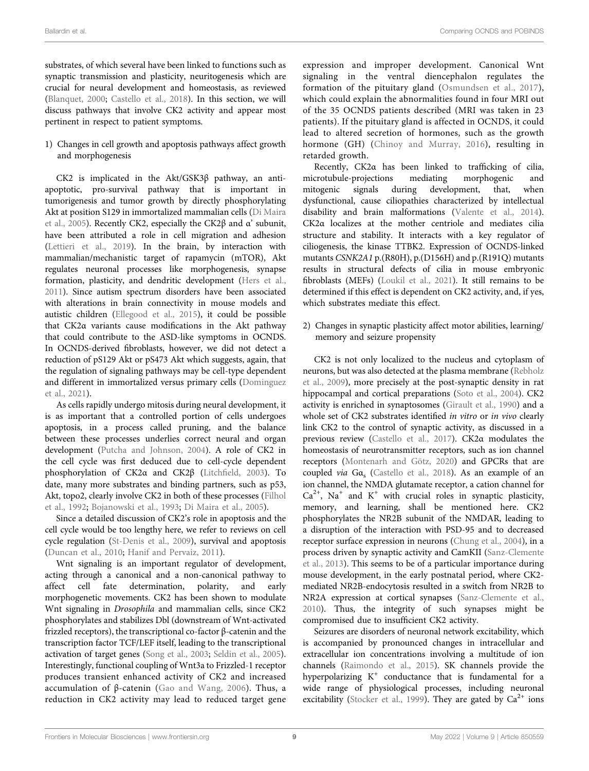substrates, of which several have been linked to functions such as synaptic transmission and plasticity, neuritogenesis which are crucial for neural development and homeostasis, as reviewed (Blanquet, 2000; Castello et al., 2018). In this section, we will discuss pathways that involve CK2 activity and appear most pertinent in respect to patient symptoms.

1) Changes in cell growth and apoptosis pathways affect growth and morphogenesis

CK2 is implicated in the Akt/GSK3β pathway, an antiapoptotic, pro-survival pathway that is important in tumorigenesis and tumor growth by directly phosphorylating Akt at position S129 in immortalized mammalian cells (Di Maira et al., 2005). Recently CK2, especially the CK2β and α' subunit, have been attributed a role in cell migration and adhesion (Lettieri et al., 2019). In the brain, by interaction with mammalian/mechanistic target of rapamycin (mTOR), Akt regulates neuronal processes like morphogenesis, synapse formation, plasticity, and dendritic development (Hers et al., 2011). Since autism spectrum disorders have been associated with alterations in brain connectivity in mouse models and autistic children (Ellegood et al., 2015), it could be possible that CK2α variants cause modifications in the Akt pathway that could contribute to the ASD-like symptoms in OCNDS. In OCNDS-derived fibroblasts, however, we did not detect a reduction of pS129 Akt or pS473 Akt which suggests, again, that the regulation of signaling pathways may be cell-type dependent and different in immortalized versus primary cells (Dominguez et al., 2021).

As cells rapidly undergo mitosis during neural development, it is as important that a controlled portion of cells undergoes apoptosis, in a process called pruning, and the balance between these processes underlies correct neural and organ development (Putcha and Johnson, 2004). A role of CK2 in the cell cycle was first deduced due to cell-cycle dependent phosphorylation of CK2α and CK2β (Litchfield, 2003). To date, many more substrates and binding partners, such as p53, Akt, topo2, clearly involve CK2 in both of these processes (Filhol et al., 1992; Bojanowski et al., 1993; Di Maira et al., 2005).

Since a detailed discussion of CK2's role in apoptosis and the cell cycle would be too lengthy here, we refer to reviews on cell cycle regulation (St-Denis et al., 2009), survival and apoptosis (Duncan et al., 2010; Hanif and Pervaiz, 2011).

Wnt signaling is an important regulator of development, acting through a canonical and a non-canonical pathway to affect cell fate determination, polarity, and early morphogenetic movements. CK2 has been shown to modulate Wnt signaling in Drosophila and mammalian cells, since CK2 phosphorylates and stabilizes Dbl (downstream of Wnt-activated frizzled receptors), the transcriptional co-factor β-catenin and the transcription factor TCF/LEF itself, leading to the transcriptional activation of target genes (Song et al., 2003; Seldin et al., 2005). Interestingly, functional coupling of Wnt3a to Frizzled-1 receptor produces transient enhanced activity of CK2 and increased accumulation of β-catenin (Gao and Wang, 2006). Thus, a reduction in CK2 activity may lead to reduced target gene

expression and improper development. Canonical Wnt signaling in the ventral diencephalon regulates the formation of the pituitary gland (Osmundsen et al., 2017), which could explain the abnormalities found in four MRI out of the 35 OCNDS patients described (MRI was taken in 23 patients). If the pituitary gland is affected in OCNDS, it could lead to altered secretion of hormones, such as the growth hormone (GH) (Chinoy and Murray, 2016), resulting in retarded growth.

Recently, CK2α has been linked to trafficking of cilia, microtubule-projections mediating morphogenic and mitogenic signals during development, that, when dysfunctional, cause ciliopathies characterized by intellectual disability and brain malformations (Valente et al., 2014). CK2α localizes at the mother centriole and mediates cilia structure and stability. It interacts with a key regulator of ciliogenesis, the kinase TTBK2. Expression of OCNDS-linked mutants CSNK2A1 p.(R80H), p.(D156H) and p.(R191Q) mutants results in structural defects of cilia in mouse embryonic fibroblasts (MEFs) (Loukil et al., 2021). It still remains to be determined if this effect is dependent on CK2 activity, and, if yes, which substrates mediate this effect.

2) Changes in synaptic plasticity affect motor abilities, learning/ memory and seizure propensity

CK2 is not only localized to the nucleus and cytoplasm of neurons, but was also detected at the plasma membrane (Rebholz et al., 2009), more precisely at the post-synaptic density in rat hippocampal and cortical preparations (Soto et al., 2004). CK2 activity is enriched in synaptosomes (Girault et al., 1990) and a whole set of CK2 substrates identified in vitro or in vivo clearly link CK2 to the control of synaptic activity, as discussed in a previous review (Castello et al., 2017). CK2α modulates the homeostasis of neurotransmitter receptors, such as ion channel receptors (Montenarh and Götz, 2020) and GPCRs that are coupled via Gα<sub>s</sub> (Castello et al., 2018). As an example of an ion channel, the NMDA glutamate receptor, a cation channel for  $Ca<sup>2+</sup>$ , Na<sup>+</sup> and K<sup>+</sup> with crucial roles in synaptic plasticity, memory, and learning, shall be mentioned here. CK2 phosphorylates the NR2B subunit of the NMDAR, leading to a disruption of the interaction with PSD-95 and to decreased receptor surface expression in neurons (Chung et al., 2004), in a process driven by synaptic activity and CamKII (Sanz-Clemente et al., 2013). This seems to be of a particular importance during mouse development, in the early postnatal period, where CK2 mediated NR2B-endocytosis resulted in a switch from NR2B to NR2A expression at cortical synapses (Sanz-Clemente et al., 2010). Thus, the integrity of such synapses might be compromised due to insufficient CK2 activity.

Seizures are disorders of neuronal network excitability, which is accompanied by pronounced changes in intracellular and extracellular ion concentrations involving a multitude of ion channels (Raimondo et al., 2015). SK channels provide the hyperpolarizing K<sup>+</sup> conductance that is fundamental for a wide range of physiological processes, including neuronal excitability (Stocker et al., 1999). They are gated by  $Ca<sup>2+</sup>$  ions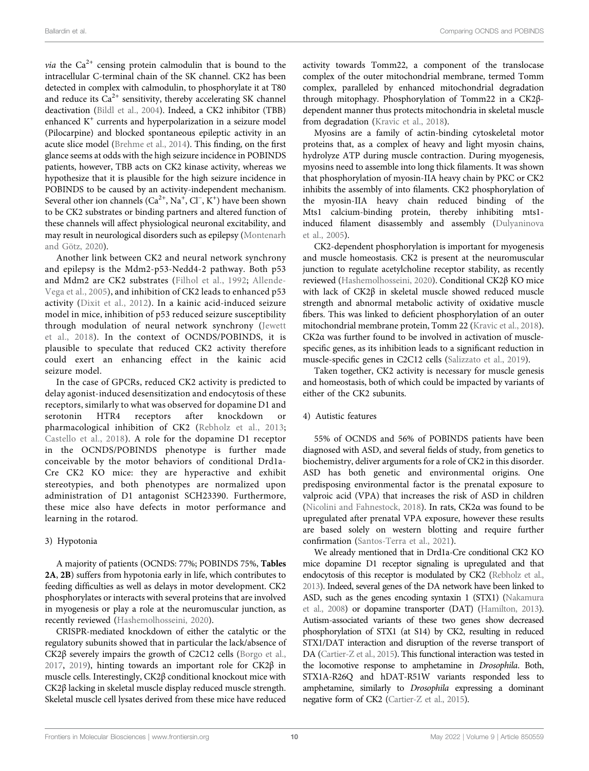*via* the  $Ca^{2+}$  censing protein calmodulin that is bound to the intracellular C-terminal chain of the SK channel. CK2 has been detected in complex with calmodulin, to phosphorylate it at T80 and reduce its  $Ca^{2+}$  sensitivity, thereby accelerating SK channel deactivation (Bildl et al., 2004). Indeed, a CK2 inhibitor (TBB) enhanced  $K^+$  currents and hyperpolarization in a seizure model (Pilocarpine) and blocked spontaneous epileptic activity in an acute slice model (Brehme et al., 2014). This finding, on the first glance seems at odds with the high seizure incidence in POBINDS patients, however, TBB acts on CK2 kinase activity, whereas we hypothesize that it is plausible for the high seizure incidence in POBINDS to be caused by an activity-independent mechanism. Several other ion channels  $(Ca^{2+}, Na^+, Cl^-, K^+)$  have been shown to be CK2 substrates or binding partners and altered function of these channels will affect physiological neuronal excitability, and may result in neurological disorders such as epilepsy (Montenarh and Götz, 2020).

Another link between CK2 and neural network synchrony and epilepsy is the Mdm2-p53-Nedd4-2 pathway. Both p53 and Mdm2 are CK2 substrates (Filhol et al., 1992; Allende-Vega et al., 2005), and inhibition of CK2 leads to enhanced p53 activity (Dixit et al., 2012). In a kainic acid-induced seizure model in mice, inhibition of p53 reduced seizure susceptibility through modulation of neural network synchrony (Jewett et al., 2018). In the context of OCNDS/POBINDS, it is plausible to speculate that reduced CK2 activity therefore could exert an enhancing effect in the kainic acid seizure model.

In the case of GPCRs, reduced CK2 activity is predicted to delay agonist-induced desensitization and endocytosis of these receptors, similarly to what was observed for dopamine D1 and serotonin HTR4 receptors after knockdown or pharmacological inhibition of CK2 (Rebholz et al., 2013; Castello et al., 2018). A role for the dopamine D1 receptor in the OCNDS/POBINDS phenotype is further made conceivable by the motor behaviors of conditional Drd1a-Cre CK2 KO mice: they are hyperactive and exhibit stereotypies, and both phenotypes are normalized upon administration of D1 antagonist SCH23390. Furthermore, these mice also have defects in motor performance and learning in the rotarod.

#### 3) Hypotonia

A majority of patients (OCNDS: 77%; POBINDS 75%, Tables 2A, 2B) suffers from hypotonia early in life, which contributes to feeding difficulties as well as delays in motor development. CK2 phosphorylates or interacts with several proteins that are involved in myogenesis or play a role at the neuromuscular junction, as recently reviewed (Hashemolhosseini, 2020).

CRISPR-mediated knockdown of either the catalytic or the regulatory subunits showed that in particular the lack/absence of CK2β severely impairs the growth of C2C12 cells (Borgo et al., 2017, 2019), hinting towards an important role for CK2β in muscle cells. Interestingly, CK2β conditional knockout mice with CK2β lacking in skeletal muscle display reduced muscle strength. Skeletal muscle cell lysates derived from these mice have reduced

activity towards Tomm22, a component of the translocase complex of the outer mitochondrial membrane, termed Tomm complex, paralleled by enhanced mitochondrial degradation through mitophagy. Phosphorylation of Tomm22 in a CK2βdependent manner thus protects mitochondria in skeletal muscle from degradation (Kravic et al., 2018).

Myosins are a family of actin-binding cytoskeletal motor proteins that, as a complex of heavy and light myosin chains, hydrolyze ATP during muscle contraction. During myogenesis, myosins need to assemble into long thick filaments. It was shown that phosphorylation of myosin-IIA heavy chain by PKC or CK2 inhibits the assembly of into filaments. CK2 phosphorylation of the myosin-IIA heavy chain reduced binding of the Mts1 calcium-binding protein, thereby inhibiting mts1 induced filament disassembly and assembly (Dulyaninova et al., 2005).

CK2-dependent phosphorylation is important for myogenesis and muscle homeostasis. CK2 is present at the neuromuscular junction to regulate acetylcholine receptor stability, as recently reviewed (Hashemolhosseini, 2020). Conditional CK2β KO mice with lack of CK2β in skeletal muscle showed reduced muscle strength and abnormal metabolic activity of oxidative muscle fibers. This was linked to deficient phosphorylation of an outer mitochondrial membrane protein, Tomm 22 (Kravic et al., 2018). CK2α was further found to be involved in activation of musclespecific genes, as its inhibition leads to a significant reduction in muscle-specific genes in C2C12 cells (Salizzato et al., 2019).

Taken together, CK2 activity is necessary for muscle genesis and homeostasis, both of which could be impacted by variants of either of the CK2 subunits.

#### 4) Autistic features

55% of OCNDS and 56% of POBINDS patients have been diagnosed with ASD, and several fields of study, from genetics to biochemistry, deliver arguments for a role of CK2 in this disorder. ASD has both genetic and environmental origins. One predisposing environmental factor is the prenatal exposure to valproic acid (VPA) that increases the risk of ASD in children (Nicolini and Fahnestock, 2018). In rats, CK2α was found to be upregulated after prenatal VPA exposure, however these results are based solely on western blotting and require further confirmation (Santos-Terra et al., 2021).

We already mentioned that in Drd1a-Cre conditional CK2 KO mice dopamine D1 receptor signaling is upregulated and that endocytosis of this receptor is modulated by CK2 (Rebholz et al., 2013). Indeed, several genes of the DA network have been linked to ASD, such as the genes encoding syntaxin 1 (STX1) (Nakamura et al., 2008) or dopamine transporter (DAT) (Hamilton, 2013). Autism-associated variants of these two genes show decreased phosphorylation of STX1 (at S14) by CK2, resulting in reduced STX1/DAT interaction and disruption of the reverse transport of DA (Cartier-Z et al., 2015). This functional interaction was tested in the locomotive response to amphetamine in Drosophila. Both, STX1A-R26Q and hDAT-R51W variants responded less to amphetamine, similarly to Drosophila expressing a dominant negative form of CK2 (Cartier-Z et al., 2015).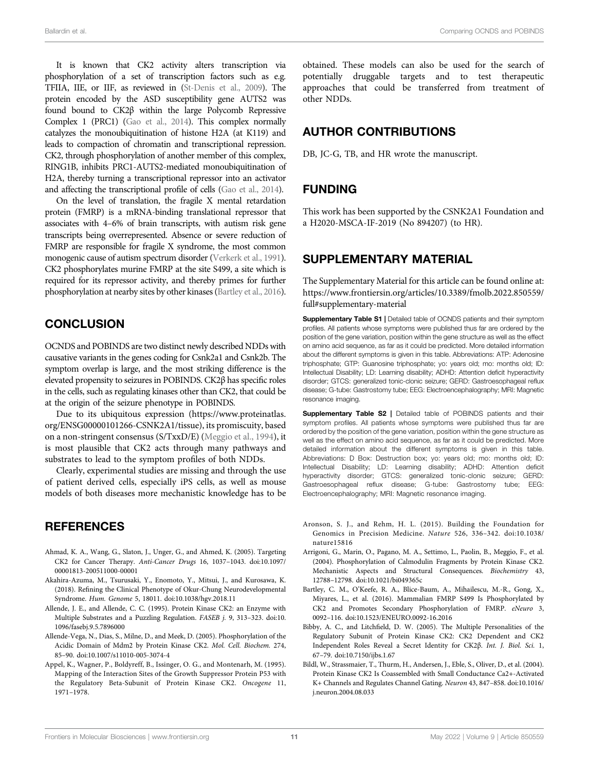It is known that CK2 activity alters transcription via phosphorylation of a set of transcription factors such as e.g. TFIIA, IIE, or IIF, as reviewed in (St-Denis et al., 2009). The protein encoded by the ASD susceptibility gene AUTS2 was found bound to CK2β within the large Polycomb Repressive Complex 1 (PRC1) (Gao et al., 2014). This complex normally catalyzes the monoubiquitination of histone H2A (at K119) and leads to compaction of chromatin and transcriptional repression. CK2, through phosphorylation of another member of this complex, RING1B, inhibits PRC1-AUTS2-mediated monoubiquitination of H2A, thereby turning a transcriptional repressor into an activator and affecting the transcriptional profile of cells (Gao et al., 2014).

On the level of translation, the fragile X mental retardation protein (FMRP) is a mRNA-binding translational repressor that associates with 4–6% of brain transcripts, with autism risk gene transcripts being overrepresented. Absence or severe reduction of FMRP are responsible for fragile X syndrome, the most common monogenic cause of autism spectrum disorder (Verkerk et al., 1991). CK2 phosphorylates murine FMRP at the site S499, a site which is required for its repressor activity, and thereby primes for further phosphorylation at nearby sites by other kinases (Bartley et al., 2016).

#### **CONCLUSION**

OCNDS and POBINDS are two distinct newly described NDDs with causative variants in the genes coding for Csnk2a1 and Csnk2b. The symptom overlap is large, and the most striking difference is the elevated propensity to seizures in POBINDS. CK2β has specific roles in the cells, such as regulating kinases other than CK2, that could be at the origin of the seizure phenotype in POBINDS.

Due to its ubiquitous expression [\(https://www.proteinatlas.](https://www.proteinatlas.org/ENSG00000101266-CSNK2A1/tissue) [org/ENSG00000101266-CSNK2A1/tissue](https://www.proteinatlas.org/ENSG00000101266-CSNK2A1/tissue)), its promiscuity, based on a non-stringent consensus (S/TxxD/E) (Meggio et al., 1994), it is most plausible that CK2 acts through many pathways and substrates to lead to the symptom profiles of both NDDs.

Clearly, experimental studies are missing and through the use of patient derived cells, especially iPS cells, as well as mouse models of both diseases more mechanistic knowledge has to be

#### **REFERENCES**

- Ahmad, K. A., Wang, G., Slaton, J., Unger, G., and Ahmed, K. (2005). Targeting CK2 for Cancer Therapy. Anti-Cancer Drugs 16, 1037–1043. doi:[10.1097/](https://doi.org/10.1097/00001813-200511000-00001) [00001813-200511000-00001](https://doi.org/10.1097/00001813-200511000-00001)
- Akahira-Azuma, M., Tsurusaki, Y., Enomoto, Y., Mitsui, J., and Kurosawa, K. (2018). Refining the Clinical Phenotype of Okur-Chung Neurodevelopmental Syndrome. Hum. Genome 5, 18011. doi[:10.1038/hgv.2018.11](https://doi.org/10.1038/hgv.2018.11)
- Allende, J. E., and Allende, C. C. (1995). Protein Kinase CK2: an Enzyme with Multiple Substrates and a Puzzling Regulation. FASEB j. 9, 313–323. doi[:10.](https://doi.org/10.1096/fasebj.9.5.7896000) [1096/fasebj.9.5.7896000](https://doi.org/10.1096/fasebj.9.5.7896000)
- Allende-Vega, N., Dias, S., Milne, D., and Meek, D. (2005). Phosphorylation of the Acidic Domain of Mdm2 by Protein Kinase CK2. Mol. Cell. Biochem. 274, 85–90. doi:[10.1007/s11010-005-3074-4](https://doi.org/10.1007/s11010-005-3074-4)
- Appel, K., Wagner, P., Boldyreff, B., Issinger, O. G., and Montenarh, M. (1995). Mapping of the Interaction Sites of the Growth Suppressor Protein P53 with the Regulatory Beta-Subunit of Protein Kinase CK2. Oncogene 11, 1971–1978.

obtained. These models can also be used for the search of potentially druggable targets and to test therapeutic approaches that could be transferred from treatment of other NDDs.

#### AUTHOR CONTRIBUTIONS

DB, JC-G, TB, and HR wrote the manuscript.

#### FUNDING

This work has been supported by the CSNK2A1 Foundation and a H2020-MSCA-IF-2019 (No 894207) (to HR).

#### SUPPLEMENTARY MATERIAL

The Supplementary Material for this article can be found online at: [https://www.frontiersin.org/articles/10.3389/fmolb.2022.850559/](https://www.frontiersin.org/articles/10.3389/fmolb.2022.850559/full#supplementary-material) [full#supplementary-material](https://www.frontiersin.org/articles/10.3389/fmolb.2022.850559/full#supplementary-material)

Supplementary Table S1 | Detailed table of OCNDS patients and their symptom profiles. All patients whose symptoms were published thus far are ordered by the position of the gene variation, position within the gene structure as well as the effect on amino acid sequence, as far as it could be predicted. More detailed information about the different symptoms is given in this table. Abbreviations: ATP: Adenosine triphosphate; GTP: Guanosine triphosphate; yo: years old; mo: months old; ID: Intellectual Disability; LD: Learning disability; ADHD: Attention deficit hyperactivity disorder; GTCS: generalized tonic-clonic seizure; GERD: Gastroesophageal reflux disease; G-tube: Gastrostomy tube; EEG: Electroencephalography; MRI: Magnetic resonance imaging.

Supplementary Table S2 | Detailed table of POBINDS patients and their symptom profiles. All patients whose symptoms were published thus far are ordered by the position of the gene variation, position within the gene structure as well as the effect on amino acid sequence, as far as it could be predicted. More detailed information about the different symptoms is given in this table. Abbreviations: D Box: Destruction box; yo: years old; mo: months old; ID: Intellectual Disability; LD: Learning disability; ADHD: Attention deficit hyperactivity disorder; GTCS: generalized tonic-clonic seizure; GERD: Gastroesophageal reflux disease; G-tube: Gastrostomy tube; EEG: Electroencephalography; MRI: Magnetic resonance imaging.

- Aronson, S. J., and Rehm, H. L. (2015). Building the Foundation for Genomics in Precision Medicine. Nature 526, 336–342. doi:[10.1038/](https://doi.org/10.1038/nature15816) [nature15816](https://doi.org/10.1038/nature15816)
- Arrigoni, G., Marin, O., Pagano, M. A., Settimo, L., Paolin, B., Meggio, F., et al. (2004). Phosphorylation of Calmodulin Fragments by Protein Kinase CK2. Mechanistic Aspects and Structural Consequences. Biochemistry 43, 12788–12798. doi[:10.1021/bi049365c](https://doi.org/10.1021/bi049365c)
- Bartley, C. M., O'Keefe, R. A., Blice-Baum, A., Mihailescu, M.-R., Gong, X., Miyares, L., et al. (2016). Mammalian FMRP S499 Is Phosphorylated by CK2 and Promotes Secondary Phosphorylation of FMRP. eNeuro 3, 0092–116. doi[:10.1523/ENEURO.0092-16.2016](https://doi.org/10.1523/ENEURO.0092-16.2016)
- Bibby, A. C., and Litchfield, D. W. (2005). The Multiple Personalities of the Regulatory Subunit of Protein Kinase CK2: CK2 Dependent and CK2 Independent Roles Reveal a Secret Identity for CK2β. Int. J. Biol. Sci. 1, 67–79. doi:[10.7150/ijbs.1.67](https://doi.org/10.7150/ijbs.1.67)
- Bildl, W., Strassmaier, T., Thurm, H., Andersen, J., Eble, S., Oliver, D., et al. (2004). Protein Kinase CK2 Is Coassembled with Small Conductance Ca2+-Activated K+ Channels and Regulates Channel Gating. Neuron 43, 847–858. doi[:10.1016/](https://doi.org/10.1016/j.neuron.2004.08.033) [j.neuron.2004.08.033](https://doi.org/10.1016/j.neuron.2004.08.033)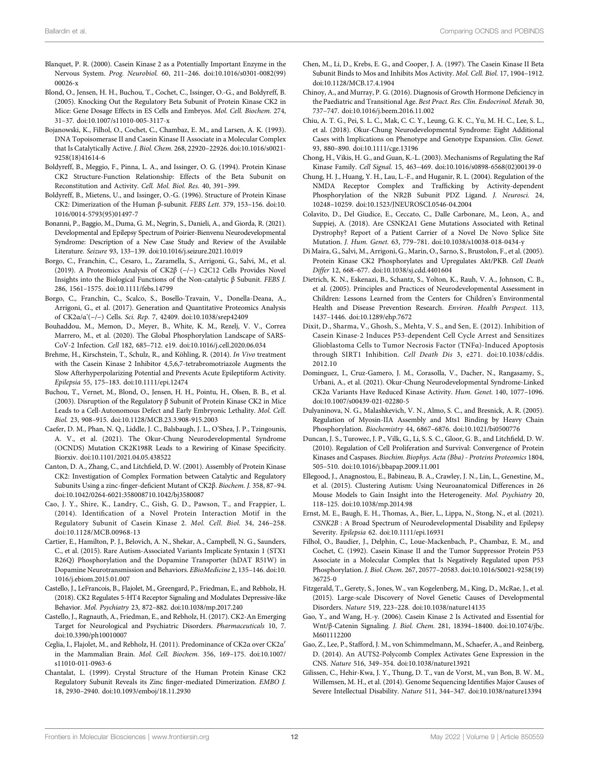- Blanquet, P. R. (2000). Casein Kinase 2 as a Potentially Important Enzyme in the Nervous System. Prog. Neurobiol. 60, 211–246. doi[:10.1016/s0301-0082\(99\)](https://doi.org/10.1016/s0301-0082(99)00026-x) [00026-x](https://doi.org/10.1016/s0301-0082(99)00026-x)
- Blond, O., Jensen, H. H., Buchou, T., Cochet, C., Issinger, O.-G., and Boldyreff, B. (2005). Knocking Out the Regulatory Beta Subunit of Protein Kinase CK2 in Mice: Gene Dosage Effects in ES Cells and Embryos. Mol. Cell. Biochem. 274, 31–37. doi:[10.1007/s11010-005-3117-x](https://doi.org/10.1007/s11010-005-3117-x)
- Bojanowski, K., Filhol, O., Cochet, C., Chambaz, E. M., and Larsen, A. K. (1993). DNA Topoisomerase II and Casein Kinase II Associate in a Molecular Complex that Is Catalytically Active. J. Biol. Chem. 268, 22920–22926. doi:[10.1016/s0021-](https://doi.org/10.1016/s0021-9258(18)41614-6) [9258\(18\)41614-6](https://doi.org/10.1016/s0021-9258(18)41614-6)
- Boldyreff, B., Meggio, F., Pinna, L. A., and Issinger, O. G. (1994). Protein Kinase CK2 Structure-Function Relationship: Effects of the Beta Subunit on Reconstitution and Activity. Cell. Mol. Biol. Res. 40, 391–399.
- Boldyreff, B., Mietens, U., and Issinger, O.-G. (1996). Structure of Protein Kinase CK2: Dimerization of the Human β-subunit. FEBS Lett. 379, 153–156. doi[:10.](https://doi.org/10.1016/0014-5793(95)01497-7) [1016/0014-5793\(95\)01497-7](https://doi.org/10.1016/0014-5793(95)01497-7)
- Bonanni, P., Baggio, M., Duma, G. M., Negrin, S., Danieli, A., and Giorda, R. (2021). Developmental and Epilepsy Spectrum of Poirier-Bienvenu Neurodevelopmental Syndrome: Description of a New Case Study and Review of the Available Literature. Seizure 93, 133–139. doi[:10.1016/j.seizure.2021.10.019](https://doi.org/10.1016/j.seizure.2021.10.019)
- Borgo, C., Franchin, C., Cesaro, L., Zaramella, S., Arrigoni, G., Salvi, M., et al. (2019). A Proteomics Analysis of CK2β (−/−) C2C12 Cells Provides Novel Insights into the Biological Functions of the Non-catalytic β Subunit. FEBS J. 286, 1561–1575. doi[:10.1111/febs.14799](https://doi.org/10.1111/febs.14799)
- Borgo, C., Franchin, C., Scalco, S., Bosello-Travain, V., Donella-Deana, A., Arrigoni, G., et al. (2017). Generation and Quantitative Proteomics Analysis of CK2α/α'(−/−) Cells. Sci. Rep. 7, 42409. doi:[10.1038/srep42409](https://doi.org/10.1038/srep42409)
- Bouhaddou, M., Memon, D., Meyer, B., White, K. M., Rezelj, V. V., Correa Marrero, M., et al. (2020). The Global Phosphorylation Landscape of SARS-CoV-2 Infection. Cell 182, 685–712. e19. doi:[10.1016/j.cell.2020.06.034](https://doi.org/10.1016/j.cell.2020.06.034)
- Brehme, H., Kirschstein, T., Schulz, R., and Köhling, R. (2014). In Vivo treatment with the Casein Kinase 2 Inhibitor 4,5,6,7-tetrabromotriazole Augments the Slow Afterhyperpolarizing Potential and Prevents Acute Epileptiform Activity. Epilepsia 55, 175–183. doi:[10.1111/epi.12474](https://doi.org/10.1111/epi.12474)
- Buchou, T., Vernet, M., Blond, O., Jensen, H. H., Pointu, H., Olsen, B. B., et al. (2003). Disruption of the Regulatory β Subunit of Protein Kinase CK2 in Mice Leads to a Cell-Autonomous Defect and Early Embryonic Lethality. Mol. Cell. Biol. 23, 908–915. doi[:10.1128/MCB.23.3.908-915.2003](https://doi.org/10.1128/MCB.23.3.908-915.2003)
- Caefer, D. M., Phan, N. Q., Liddle, J. C., Balsbaugh, J. L., O'Shea, J. P., Tzingounis, A. V., et al. (2021). The Okur-Chung Neurodevelopmental Syndrome (OCNDS) Mutation CK2K198R Leads to a Rewiring of Kinase Specificity. Biorxiv. doi[:10.1101/2021.04.05.438522](https://doi.org/10.1101/2021.04.05.438522)
- Canton, D. A., Zhang, C., and Litchfield, D. W. (2001). Assembly of Protein Kinase CK2: Investigation of Complex Formation between Catalytic and Regulatory Subunits Using a zinc-finger-deficient Mutant of CK2β. Biochem. J. 358, 87–94. doi:[10.1042/0264-6021:358008710.1042/bj3580087](https://doi.org/10.1042/0264-6021:358008710.1042/bj3580087)
- Cao, J. Y., Shire, K., Landry, C., Gish, G. D., Pawson, T., and Frappier, L. (2014). Identification of a Novel Protein Interaction Motif in the Regulatory Subunit of Casein Kinase 2. Mol. Cell. Biol. 34, 246–258. doi[:10.1128/MCB.00968-13](https://doi.org/10.1128/MCB.00968-13)
- Cartier, E., Hamilton, P. J., Belovich, A. N., Shekar, A., Campbell, N. G., Saunders, C., et al. (2015). Rare Autism-Associated Variants Implicate Syntaxin 1 (STX1 R26Q) Phosphorylation and the Dopamine Transporter (hDAT R51W) in Dopamine Neurotransmission and Behaviors. EBioMedicine 2, 135–146. doi[:10.](https://doi.org/10.1016/j.ebiom.2015.01.007) [1016/j.ebiom.2015.01.007](https://doi.org/10.1016/j.ebiom.2015.01.007)
- Castello, J., LeFrancois, B., Flajolet, M., Greengard, P., Friedman, E., and Rebholz, H. (2018). CK2 Regulates 5-HT4 Receptor Signaling and Modulates Depressive-like Behavior. Mol. Psychiatry 23, 872–882. doi[:10.1038/mp.2017.240](https://doi.org/10.1038/mp.2017.240)
- Castello, J., Ragnauth, A., Friedman, E., and Rebholz, H. (2017). CK2-An Emerging Target for Neurological and Psychiatric Disorders. Pharmaceuticals 10, 7. doi:[10.3390/ph10010007](https://doi.org/10.3390/ph10010007)
- Ceglia, I., Flajolet, M., and Rebholz, H. (2011). Predominance of CK2α over CK2α′ in the Mammalian Brain. Mol. Cell. Biochem. 356, 169–175. doi:[10.1007/](https://doi.org/10.1007/s11010-011-0963-6) [s11010-011-0963-6](https://doi.org/10.1007/s11010-011-0963-6)
- Chantalat, L. (1999). Crystal Structure of the Human Protein Kinase CK2 Regulatory Subunit Reveals its Zinc finger-mediated Dimerization. EMBO J. 18, 2930–2940. doi[:10.1093/emboj/18.11.2930](https://doi.org/10.1093/emboj/18.11.2930)
- Chen, M., Li, D., Krebs, E. G., and Cooper, J. A. (1997). The Casein Kinase II Beta Subunit Binds to Mos and Inhibits Mos Activity. Mol. Cell. Biol. 17, 1904–1912. doi[:10.1128/MCB.17.4.1904](https://doi.org/10.1128/MCB.17.4.1904)
- Chinoy, A., and Murray, P. G. (2016). Diagnosis of Growth Hormone Deficiency in the Paediatric and Transitional Age. Best Pract. Res. Clin. Endocrinol. Metab. 30, 737–747. doi:[10.1016/j.beem.2016.11.002](https://doi.org/10.1016/j.beem.2016.11.002)
- Chiu, A. T. G., Pei, S. L. C., Mak, C. C. Y., Leung, G. K. C., Yu, M. H. C., Lee, S. L., et al. (2018). Okur-Chung Neurodevelopmental Syndrome: Eight Additional Cases with Implications on Phenotype and Genotype Expansion. Clin. Genet. 93, 880–890. doi[:10.1111/cge.13196](https://doi.org/10.1111/cge.13196)
- Chong, H., Vikis, H. G., and Guan, K.-L. (2003). Mechanisms of Regulating the Raf Kinase Family. Cell Signal. 15, 463–469. doi[:10.1016/s0898-6568\(02\)00139-0](https://doi.org/10.1016/s0898-6568(02)00139-0)
- Chung, H. J., Huang, Y. H., Lau, L.-F., and Huganir, R. L. (2004). Regulation of the NMDA Receptor Complex and Trafficking by Activity-dependent Phosphorylation of the NR2B Subunit PDZ Ligand. J. Neurosci. 24, 10248–10259. doi[:10.1523/JNEUROSCI.0546-04.2004](https://doi.org/10.1523/JNEUROSCI.0546-04.2004)
- Colavito, D., Del Giudice, E., Ceccato, C., Dalle Carbonare, M., Leon, A., and Suppiej, A. (2018). Are CSNK2A1 Gene Mutations Associated with Retinal Dystrophy? Report of a Patient Carrier of a Novel De Novo Splice Site Mutation. J. Hum. Genet. 63, 779–781. doi:[10.1038/s10038-018-0434-y](https://doi.org/10.1038/s10038-018-0434-y)
- Di Maira, G., Salvi, M., Arrigoni, G., Marin, O., Sarno, S., Brustolon, F., et al. (2005). Protein Kinase CK2 Phosphorylates and Upregulates Akt/PKB. Cell Death Differ 12, 668–677. doi:[10.1038/sj.cdd.4401604](https://doi.org/10.1038/sj.cdd.4401604)
- Dietrich, K. N., Eskenazi, B., Schantz, S., Yolton, K., Rauh, V. A., Johnson, C. B., et al. (2005). Principles and Practices of Neurodevelopmental Assessment in Children: Lessons Learned from the Centers for Children's Environmental Health and Disease Prevention Research. Environ. Health Perspect. 113, 1437–1446. doi:[10.1289/ehp.7672](https://doi.org/10.1289/ehp.7672)
- Dixit, D., Sharma, V., Ghosh, S., Mehta, V. S., and Sen, E. (2012). Inhibition of Casein Kinase-2 Induces P53-dependent Cell Cycle Arrest and Sensitizes Glioblastoma Cells to Tumor Necrosis Factor (TNFα)-Induced Apoptosis through SIRT1 Inhibition. Cell Death Dis 3, e271. doi[:10.1038/cddis.](https://doi.org/10.1038/cddis.2012.10) [2012.10](https://doi.org/10.1038/cddis.2012.10)
- Dominguez, I., Cruz-Gamero, J. M., Corasolla, V., Dacher, N., Rangasamy, S., Urbani, A., et al. (2021). Okur-Chung Neurodevelopmental Syndrome-Linked CK2α Variants Have Reduced Kinase Activity. Hum. Genet. 140, 1077–1096. doi[:10.1007/s00439-021-02280-5](https://doi.org/10.1007/s00439-021-02280-5)
- Dulyaninova, N. G., Malashkevich, V. N., Almo, S. C., and Bresnick, A. R. (2005). Regulation of Myosin-IIA Assembly and Mts1 Binding by Heavy Chain Phosphorylation. Biochemistry 44, 6867–6876. doi[:10.1021/bi0500776](https://doi.org/10.1021/bi0500776)
- Duncan, J. S., Turowec, J. P., Vilk, G., Li, S. S. C., Gloor, G. B., and Litchfield, D. W. (2010). Regulation of Cell Proliferation and Survival: Convergence of Protein Kinases and Caspases. Biochim. Biophys. Acta (Bba) - Proteins Proteomics 1804, 505–510. doi:[10.1016/j.bbapap.2009.11.001](https://doi.org/10.1016/j.bbapap.2009.11.001)
- Ellegood, J., Anagnostou, E., Babineau, B. A., Crawley, J. N., Lin, L., Genestine, M., et al. (2015). Clustering Autism: Using Neuroanatomical Differences in 26 Mouse Models to Gain Insight into the Heterogeneity. Mol. Psychiatry 20, 118–125. doi:[10.1038/mp.2014.98](https://doi.org/10.1038/mp.2014.98)
- Ernst, M. E., Baugh, E. H., Thomas, A., Bier, L., Lippa, N., Stong, N., et al. (2021). CSNK2B : A Broad Spectrum of Neurodevelopmental Disability and Epilepsy Severity. Epilepsia 62. doi[:10.1111/epi.16931](https://doi.org/10.1111/epi.16931)
- Filhol, O., Baudier, J., Delphin, C., Loue-Mackenbach, P., Chambaz, E. M., and Cochet, C. (1992). Casein Kinase II and the Tumor Suppressor Protein P53 Associate in a Molecular Complex that Is Negatively Regulated upon P53 Phosphorylation. J. Biol. Chem. 267, 20577–20583. doi[:10.1016/S0021-9258\(19\)](https://doi.org/10.1016/S0021-9258(19)36725-0) [36725-0](https://doi.org/10.1016/S0021-9258(19)36725-0)
- Fitzgerald, T., Gerety, S., Jones, W., van Kogelenberg, M., King, D., McRae, J., et al. (2015). Large-scale Discovery of Novel Genetic Causes of Developmental Disorders. Nature 519, 223–228. doi[:10.1038/nature14135](https://doi.org/10.1038/nature14135)
- Gao, Y., and Wang, H.-y. (2006). Casein Kinase 2 Is Activated and Essential for Wnt/β-Catenin Signaling. J. Biol. Chem. 281, 18394–18400. doi:[10.1074/jbc.](https://doi.org/10.1074/jbc.M601112200) [M601112200](https://doi.org/10.1074/jbc.M601112200)
- Gao, Z., Lee, P., Stafford, J. M., von Schimmelmann, M., Schaefer, A., and Reinberg, D. (2014). An AUTS2-Polycomb Complex Activates Gene Expression in the CNS. Nature 516, 349–354. doi:[10.1038/nature13921](https://doi.org/10.1038/nature13921)
- Gilissen, C., Hehir-Kwa, J. Y., Thung, D. T., van de Vorst, M., van Bon, B. W. M., Willemsen, M. H., et al. (2014). Genome Sequencing Identifies Major Causes of Severe Intellectual Disability. Nature 511, 344–347. doi:[10.1038/nature13394](https://doi.org/10.1038/nature13394)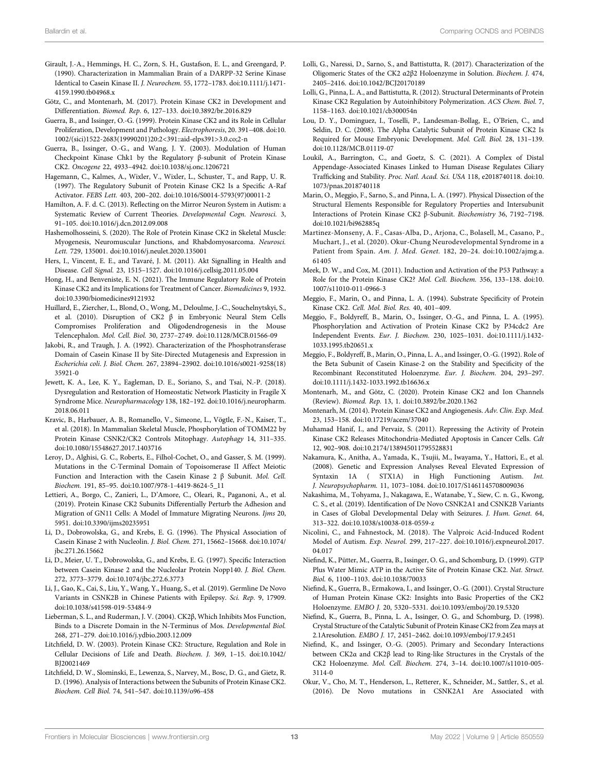- Girault, J.-A., Hemmings, H. C., Zorn, S. H., Gustafson, E. L., and Greengard, P. (1990). Characterization in Mammalian Brain of a DARPP-32 Serine Kinase Identical to Casein Kinase II. J. Neurochem. 55, 1772–1783. doi[:10.1111/j.1471-](https://doi.org/10.1111/j.1471-4159.1990.tb04968.x) [4159.1990.tb04968.x](https://doi.org/10.1111/j.1471-4159.1990.tb04968.x)
- Götz, C., and Montenarh, M. (2017). Protein Kinase CK2 in Development and Differentiation. Biomed. Rep. 6, 127–133. doi:[10.3892/br.2016.829](https://doi.org/10.3892/br.2016.829)
- Guerra, B., and Issinger, O.-G. (1999). Protein Kinase CK2 and its Role in Cellular Proliferation, Development and Pathology. Electrophoresis, 20. 391–408. doi[:10.](https://doi.org/10.1002/(sici)1522-2683(19990201)20:2<391::aid-elps391>3.0.co;2-n) [1002/\(sici\)1522-2683\(19990201\)20:2](https://doi.org/10.1002/(sici)1522-2683(19990201)20:2<391::aid-elps391>3.0.co;2-n)<391::aid-elps391>3.0.co;2-n
- Guerra, B., Issinger, O.-G., and Wang, J. Y. (2003). Modulation of Human Checkpoint Kinase Chk1 by the Regulatory β-subunit of Protein Kinase CK2. Oncogene 22, 4933–4942. doi[:10.1038/sj.onc.1206721](https://doi.org/10.1038/sj.onc.1206721)
- Hagemann, C., Kalmes, A., Wixler, V., Wixler, L., Schuster, T., and Rapp, U. R. (1997). The Regulatory Subunit of Protein Kinase CK2 Is a Specific A-Raf Activator. FEBS Lett. 403, 200–202. doi:[10.1016/S0014-5793\(97\)00011-2](https://doi.org/10.1016/S0014-5793(97)00011-2)
- Hamilton, A. F. d. C. (2013). Reflecting on the Mirror Neuron System in Autism: a Systematic Review of Current Theories. Developmental Cogn. Neurosci. 3, 91–105. doi[:10.1016/j.dcn.2012.09.008](https://doi.org/10.1016/j.dcn.2012.09.008)
- Hashemolhosseini, S. (2020). The Role of Protein Kinase CK2 in Skeletal Muscle: Myogenesis, Neuromuscular Junctions, and Rhabdomyosarcoma. Neurosci. Lett. 729, 135001. doi:[10.1016/j.neulet.2020.135001](https://doi.org/10.1016/j.neulet.2020.135001)
- Hers, I., Vincent, E. E., and Tavaré, J. M. (2011). Akt Signalling in Health and Disease. Cell Signal. 23, 1515–1527. doi:[10.1016/j.cellsig.2011.05.004](https://doi.org/10.1016/j.cellsig.2011.05.004)
- Hong, H., and Benveniste, E. N. (2021). The Immune Regulatory Role of Protein Kinase CK2 and its Implications for Treatment of Cancer. Biomedicines 9, 1932. doi:[10.3390/biomedicines9121932](https://doi.org/10.3390/biomedicines9121932)
- Huillard, E., Ziercher, L., Blond, O., Wong, M., Deloulme, J.-C., Souchelnytskyi, S., et al. (2010). Disruption of CK2 β in Embryonic Neural Stem Cells Compromises Proliferation and Oligodendrogenesis in the Mouse Telencephalon. Mol. Cell. Biol. 30, 2737–2749. doi:[10.1128/MCB.01566-09](https://doi.org/10.1128/MCB.01566-09)
- Jakobi, R., and Traugh, J. A. (1992). Characterization of the Phosphotransferase Domain of Casein Kinase II by Site-Directed Mutagenesis and Expression in Escherichia coli. J. Biol. Chem. 267, 23894–23902. doi[:10.1016/s0021-9258\(18\)](https://doi.org/10.1016/s0021-9258(18)35921-0) [35921-0](https://doi.org/10.1016/s0021-9258(18)35921-0)
- Jewett, K. A., Lee, K. Y., Eagleman, D. E., Soriano, S., and Tsai, N.-P. (2018). Dysregulation and Restoration of Homeostatic Network Plasticity in Fragile X Syndrome Mice. Neuropharmacology 138, 182–192. doi:[10.1016/j.neuropharm.](https://doi.org/10.1016/j.neuropharm.2018.06.011) [2018.06.011](https://doi.org/10.1016/j.neuropharm.2018.06.011)
- Kravic, B., Harbauer, A. B., Romanello, V., Simeone, L., Vögtle, F.-N., Kaiser, T., et al. (2018). In Mammalian Skeletal Muscle, Phosphorylation of TOMM22 by Protein Kinase CSNK2/CK2 Controls Mitophagy. Autophagy 14, 311–335. doi:[10.1080/15548627.2017.1403716](https://doi.org/10.1080/15548627.2017.1403716)
- Leroy, D., Alghisi, G. C., Roberts, E., Filhol-Cochet, O., and Gasser, S. M. (1999). Mutations in the C-Terminal Domain of Topoisomerase II Affect Meiotic Function and Interaction with the Casein Kinase 2 β Subunit. Mol. Cell. Biochem. 191, 85–95. doi[:10.1007/978-1-4419-8624-5\\_11](https://doi.org/10.1007/978-1-4419-8624-5_11)
- Lettieri, A., Borgo, C., Zanieri, L., D'Amore, C., Oleari, R., Paganoni, A., et al. (2019). Protein Kinase CK2 Subunits Differentially Perturb the Adhesion and Migration of GN11 Cells: A Model of Immature Migrating Neurons. Ijms 20, 5951. doi:[10.3390/ijms20235951](https://doi.org/10.3390/ijms20235951)
- Li, D., Dobrowolska, G., and Krebs, E. G. (1996). The Physical Association of Casein Kinase 2 with Nucleolin. J. Biol. Chem. 271, 15662–15668. doi:[10.1074/](https://doi.org/10.1074/jbc.271.26.15662) [jbc.271.26.15662](https://doi.org/10.1074/jbc.271.26.15662)
- Li, D., Meier, U. T., Dobrowolska, G., and Krebs, E. G. (1997). Specific Interaction between Casein Kinase 2 and the Nucleolar Protein Nopp140. J. Biol. Chem. 272, 3773–3779. doi[:10.1074/jbc.272.6.3773](https://doi.org/10.1074/jbc.272.6.3773)
- Li, J., Gao, K., Cai, S., Liu, Y., Wang, Y., Huang, S., et al. (2019). Germline De Novo Variants in CSNK2B in Chinese Patients with Epilepsy. Sci. Rep. 9, 17909. doi:[10.1038/s41598-019-53484-9](https://doi.org/10.1038/s41598-019-53484-9)
- Lieberman, S. L., and Ruderman, J. V. (2004). CK2β, Which Inhibits Mos Function, Binds to a Discrete Domain in the N-Terminus of Mos. Developmental Biol. 268, 271–279. doi:[10.1016/j.ydbio.2003.12.009](https://doi.org/10.1016/j.ydbio.2003.12.009)
- Litchfield, D. W. (2003). Protein Kinase CK2: Structure, Regulation and Role in Cellular Decisions of Life and Death. Biochem. J. 369, 1–15. doi:[10.1042/](https://doi.org/10.1042/BJ20021469) [BJ20021469](https://doi.org/10.1042/BJ20021469)
- Litchfield, D. W., Slominski, E., Lewenza, S., Narvey, M., Bosc, D. G., and Gietz, R. D. (1996). Analysis of Interactions between the Subunits of Protein Kinase CK2. Biochem. Cell Biol. 74, 541–547. doi[:10.1139/o96-458](https://doi.org/10.1139/o96-458)
- Lolli, G., Naressi, D., Sarno, S., and Battistutta, R. (2017). Characterization of the Oligomeric States of the CK2 α2β2 Holoenzyme in Solution. Biochem. J. 474, 2405–2416. doi:[10.1042/BCJ20170189](https://doi.org/10.1042/BCJ20170189)
- Lolli, G., Pinna, L. A., and Battistutta, R. (2012). Structural Determinants of Protein Kinase CK2 Regulation by Autoinhibitory Polymerization. ACS Chem. Biol. 7, 1158–1163. doi:[10.1021/cb300054n](https://doi.org/10.1021/cb300054n)
- Lou, D. Y., Dominguez, I., Toselli, P., Landesman-Bollag, E., O'Brien, C., and Seldin, D. C. (2008). The Alpha Catalytic Subunit of Protein Kinase CK2 Is Required for Mouse Embryonic Development. Mol. Cell. Biol. 28, 131–139. doi[:10.1128/MCB.01119-07](https://doi.org/10.1128/MCB.01119-07)
- Loukil, A., Barrington, C., and Goetz, S. C. (2021). A Complex of Distal Appendage-Associated Kinases Linked to Human Disease Regulates Ciliary Trafficking and Stability. Proc. Natl. Acad. Sci. USA 118, e2018740118. doi[:10.](https://doi.org/10.1073/pnas.2018740118) [1073/pnas.2018740118](https://doi.org/10.1073/pnas.2018740118)
- Marin, O., Meggio, F., Sarno, S., and Pinna, L. A. (1997). Physical Dissection of the Structural Elements Responsible for Regulatory Properties and Intersubunit Interactions of Protein Kinase CK2 β-Subunit. Biochemistry 36, 7192–7198. doi[:10.1021/bi962885q](https://doi.org/10.1021/bi962885q)
- Martinez-Monseny, A. F., Casas-Alba, D., Arjona, C., Bolasell, M., Casano, P., Muchart, J., et al. (2020). Okur-Chung Neurodevelopmental Syndrome in a Patient from Spain. Am. J. Med. Genet. 182, 20–24. doi[:10.1002/ajmg.a.](https://doi.org/10.1002/ajmg.a.61405) [61405](https://doi.org/10.1002/ajmg.a.61405)
- Meek, D. W., and Cox, M. (2011). Induction and Activation of the P53 Pathway: a Role for the Protein Kinase CK2? Mol. Cell. Biochem. 356, 133–138. doi[:10.](https://doi.org/10.1007/s11010-011-0966-3) [1007/s11010-011-0966-3](https://doi.org/10.1007/s11010-011-0966-3)
- Meggio, F., Marin, O., and Pinna, L. A. (1994). Substrate Specificity of Protein Kinase CK2. Cell. Mol. Biol. Res. 40, 401–409.
- Meggio, F., Boldyreff, B., Marin, O., Issinger, O.-G., and Pinna, L. A. (1995). Phosphorylation and Activation of Protein Kinase CK2 by P34cdc2 Are Independent Events. Eur. J. Biochem. 230, 1025–1031. doi:[10.1111/j.1432-](https://doi.org/10.1111/j.1432-1033.1995.tb20651.x) [1033.1995.tb20651.x](https://doi.org/10.1111/j.1432-1033.1995.tb20651.x)
- Meggio, F., Boldyreff, B., Marin, O., Pinna, L. A., and Issinger, O.-G. (1992). Role of the Beta Subunit of Casein Kinase-2 on the Stability and Specificity of the Recombinant Reconstituted Holoenzyme. Eur. J. Biochem. 204, 293–297. doi[:10.1111/j.1432-1033.1992.tb16636.x](https://doi.org/10.1111/j.1432-1033.1992.tb16636.x)
- Montenarh, M., and Götz, C. (2020). Protein Kinase CK2 and Ion Channels (Review). Biomed. Rep. 13, 1. doi:[10.3892/br.2020.1362](https://doi.org/10.3892/br.2020.1362)
- Montenarh, M. (2014). Protein Kinase CK2 and Angiogenesis. Adv. Clin. Exp. Med. 23, 153–158. doi[:10.17219/acem/37040](https://doi.org/10.17219/acem/37040)
- Muhamad Hanif, I., and Pervaiz, S. (2011). Repressing the Activity of Protein Kinase CK2 Releases Mitochondria-Mediated Apoptosis in Cancer Cells. Cdt 12, 902–908. doi[:10.2174/138945011795528831](https://doi.org/10.2174/138945011795528831)
- Nakamura, K., Anitha, A., Yamada, K., Tsujii, M., Iwayama, Y., Hattori, E., et al. (2008). Genetic and Expression Analyses Reveal Elevated Expression of Syntaxin 1A ( STX1A) in High Functioning Autism. Int. J. Neuropsychopharm. 11, 1073–1084. doi[:10.1017/S1461145708009036](https://doi.org/10.1017/S1461145708009036)
- Nakashima, M., Tohyama, J., Nakagawa, E., Watanabe, Y., Siew, C. n. G., Kwong, C. S., et al. (2019). Identification of De Novo CSNK2A1 and CSNK2B Variants in Cases of Global Developmental Delay with Seizures. J. Hum. Genet. 64, 313–322. doi:[10.1038/s10038-018-0559-z](https://doi.org/10.1038/s10038-018-0559-z)
- Nicolini, C., and Fahnestock, M. (2018). The Valproic Acid-Induced Rodent Model of Autism. Exp. Neurol. 299, 217–227. doi:[10.1016/j.expneurol.2017.](https://doi.org/10.1016/j.expneurol.2017.04.017) [04.017](https://doi.org/10.1016/j.expneurol.2017.04.017)
- Niefind, K., Pütter, M., Guerra, B., Issinger, O. G., and Schomburg, D. (1999). GTP Plus Water Mimic ATP in the Active Site of Protein Kinase CK2. Nat. Struct. Biol. 6, 1100–1103. doi[:10.1038/70033](https://doi.org/10.1038/70033)
- Niefind, K., Guerra, B., Ermakowa, I., and Issinger, O.-G. (2001). Crystal Structure of Human Protein Kinase CK2: Insights into Basic Properties of the CK2 Holoenzyme. EMBO J. 20, 5320–5331. doi:[10.1093/emboj/20.19.5320](https://doi.org/10.1093/emboj/20.19.5320)
- Niefind, K., Guerra, B., Pinna, L. A., Issinger, O. G., and Schomburg, D. (1998). Crystal Structure of the Catalytic Subunit of Protein Kinase CK2 from Zea mays at 2.1Aresolution. EMBO J. 17, 2451–2462. doi:[10.1093/emboj/17.9.2451](https://doi.org/10.1093/emboj/17.9.2451)
- Niefind, K., and Issinger, O.-G. (2005). Primary and Secondary Interactions between CK2α and CK2β lead to Ring-like Structures in the Crystals of the CK2 Holoenzyme. Mol. Cell. Biochem. 274, 3–14. doi:[10.1007/s11010-005-](https://doi.org/10.1007/s11010-005-3114-0) [3114-0](https://doi.org/10.1007/s11010-005-3114-0)
- Okur, V., Cho, M. T., Henderson, L., Retterer, K., Schneider, M., Sattler, S., et al. (2016). De Novo mutations in CSNK2A1 Are Associated with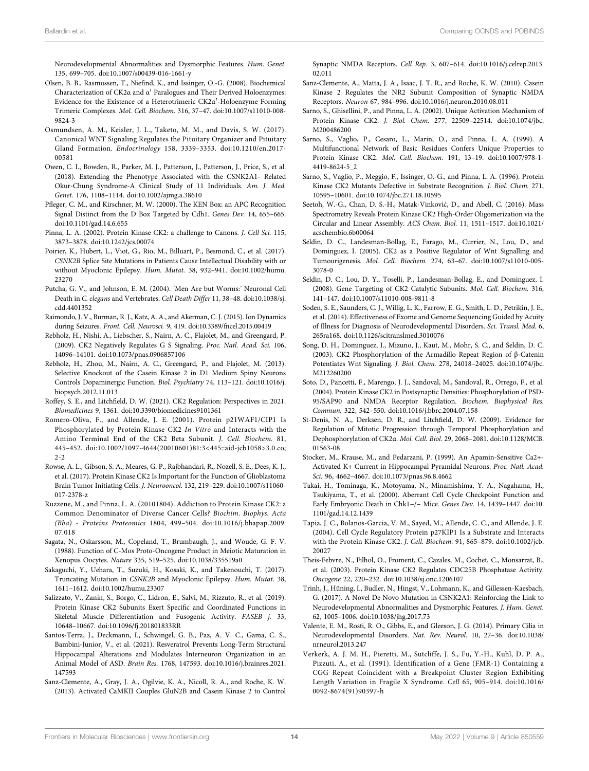Neurodevelopmental Abnormalities and Dysmorphic Features. Hum. Genet. 135, 699–705. doi:[10.1007/s00439-016-1661-y](https://doi.org/10.1007/s00439-016-1661-y)

- Olsen, B. B., Rasmussen, T., Niefind, K., and Issinger, O.-G. (2008). Biochemical Characterization of CK2α and α′ Paralogues and Their Derived Holoenzymes: Evidence for the Existence of a Heterotrimeric CK2α′-Holoenzyme Forming Trimeric Complexes. Mol. Cell. Biochem. 316, 37–47. doi:[10.1007/s11010-008-](https://doi.org/10.1007/s11010-008-9824-3) [9824-3](https://doi.org/10.1007/s11010-008-9824-3)
- Osmundsen, A. M., Keisler, J. L., Taketo, M. M., and Davis, S. W. (2017). Canonical WNT Signaling Regulates the Pituitary Organizer and Pituitary Gland Formation. Endocrinology 158, 3339–3353. doi:[10.1210/en.2017-](https://doi.org/10.1210/en.2017-00581) [00581](https://doi.org/10.1210/en.2017-00581)
- Owen, C. I., Bowden, R., Parker, M. J., Patterson, J., Patterson, J., Price, S., et al. (2018). Extending the Phenotype Associated with the CSNK2A1- Related Okur-Chung Syndrome-A Clinical Study of 11 Individuals. Am. J. Med. Genet. 176, 1108–1114. doi[:10.1002/ajmg.a.38610](https://doi.org/10.1002/ajmg.a.38610)
- Pfleger, C. M., and Kirschner, M. W. (2000). The KEN Box: an APC Recognition Signal Distinct from the D Box Targeted by Cdh1. Genes Dev. 14, 655–665. doi:[10.1101/gad.14.6.655](https://doi.org/10.1101/gad.14.6.655)
- Pinna, L. A. (2002). Protein Kinase CK2: a challenge to Canons. J. Cell Sci. 115, 3873–3878. doi[:10.1242/jcs.00074](https://doi.org/10.1242/jcs.00074)
- Poirier, K., Hubert, L., Viot, G., Rio, M., Billuart, P., Besmond, C., et al. (2017). CSNK2B Splice Site Mutations in Patients Cause Intellectual Disability with or without Myoclonic Epilepsy. Hum. Mutat. 38, 932–941. doi[:10.1002/humu.](https://doi.org/10.1002/humu.23270) [23270](https://doi.org/10.1002/humu.23270)
- Putcha, G. V., and Johnson, E. M. (2004). 'Men Are but Worms:' Neuronal Cell Death in C. elegans and Vertebrates. Cell Death Differ 11, 38–48. doi[:10.1038/sj.](https://doi.org/10.1038/sj.cdd.4401352) [cdd.4401352](https://doi.org/10.1038/sj.cdd.4401352)
- Raimondo, J. V., Burman, R. J., Katz, A. A., and Akerman, C. J. (2015). Ion Dynamics during Seizures. Front. Cell. Neurosci. 9, 419. doi[:10.3389/fncel.2015.00419](https://doi.org/10.3389/fncel.2015.00419)
- Rebholz, H., Nishi, A., Liebscher, S., Nairn, A. C., Flajolet, M., and Greengard, P. (2009). CK2 Negatively Regulates G S Signaling. Proc. Natl. Acad. Sci. 106, 14096–14101. doi[:10.1073/pnas.0906857106](https://doi.org/10.1073/pnas.0906857106)
- Rebholz, H., Zhou, M., Nairn, A. C., Greengard, P., and Flajolet, M. (2013). Selective Knockout of the Casein Kinase 2 in D1 Medium Spiny Neurons Controls Dopaminergic Function. Biol. Psychiatry 74, 113–121. doi[:10.1016/j.](https://doi.org/10.1016/j.biopsych.2012.11.013) [biopsych.2012.11.013](https://doi.org/10.1016/j.biopsych.2012.11.013)
- Roffey, S. E., and Litchfield, D. W. (2021). CK2 Regulation: Perspectives in 2021. Biomedicines 9, 1361. doi:[10.3390/biomedicines9101361](https://doi.org/10.3390/biomedicines9101361)
- Romero-Oliva, F., and Allende, J. E. (2001). Protein p21WAF1/CIP1 Is Phosphorylated by Protein Kinase CK2 In Vitro and Interacts with the Amino Terminal End of the CK2 Beta Subunit. J. Cell. Biochem. 81, 445–452. doi:[10.1002/1097-4644\(20010601\)81:3](https://doi.org/10.1002/1097-4644(20010601)81:3<445::aid-jcb1058>3.0.co;2-2)<445::aid-jcb1058>3.0.co; [2-2](https://doi.org/10.1002/1097-4644(20010601)81:3<445::aid-jcb1058>3.0.co;2-2)
- Rowse, A. L., Gibson, S. A., Meares, G. P., Rajbhandari, R., Nozell, S. E., Dees, K. J., et al. (2017). Protein Kinase CK2 Is Important for the Function of Glioblastoma Brain Tumor Initiating Cells. J. Neurooncol. 132, 219–229. doi[:10.1007/s11060-](https://doi.org/10.1007/s11060-017-2378-z) [017-2378-z](https://doi.org/10.1007/s11060-017-2378-z)
- Ruzzene, M., and Pinna, L. A. (20101804). Addiction to Protein Kinase CK2: a Common Denominator of Diverse Cancer Cells? Biochim. Biophys. Acta (Bba) - Proteins Proteomics 1804, 499–504. doi[:10.1016/j.bbapap.2009.](https://doi.org/10.1016/j.bbapap.2009.07.018) [07.018](https://doi.org/10.1016/j.bbapap.2009.07.018)
- Sagata, N., Oskarsson, M., Copeland, T., Brumbaugh, J., and Woude, G. F. V. (1988). Function of C-Mos Proto-Oncogene Product in Meiotic Maturation in Xenopus Oocytes. Nature 335, 519–525. doi:[10.1038/335519a0](https://doi.org/10.1038/335519a0)
- Sakaguchi, Y., Uehara, T., Suzuki, H., Kosaki, K., and Takenouchi, T. (2017). Truncating Mutation in CSNK2B and Myoclonic Epilepsy. Hum. Mutat. 38, 1611–1612. doi[:10.1002/humu.23307](https://doi.org/10.1002/humu.23307)
- Salizzato, V., Zanin, S., Borgo, C., Lidron, E., Salvi, M., Rizzuto, R., et al. (2019). Protein Kinase CK2 Subunits Exert Specific and Coordinated Functions in Skeletal Muscle Differentiation and Fusogenic Activity. FASEB j. 33, 10648–10667. doi[:10.1096/fj.201801833RR](https://doi.org/10.1096/fj.201801833RR)
- Santos-Terra, J., Deckmann, I., Schwingel, G. B., Paz, A. V. C., Gama, C. S., Bambini-Junior, V., et al. (2021). Resveratrol Prevents Long-Term Structural Hippocampal Alterations and Modulates Interneuron Organization in an Animal Model of ASD. Brain Res. 1768, 147593. doi[:10.1016/j.brainres.2021.](https://doi.org/10.1016/j.brainres.2021.147593) [147593](https://doi.org/10.1016/j.brainres.2021.147593)
- Sanz-Clemente, A., Gray, J. A., Ogilvie, K. A., Nicoll, R. A., and Roche, K. W. (2013). Activated CaMKII Couples GluN2B and Casein Kinase 2 to Control

Synaptic NMDA Receptors. Cell Rep. 3, 607–614. doi[:10.1016/j.celrep.2013.](https://doi.org/10.1016/j.celrep.2013.02.011) [02.011](https://doi.org/10.1016/j.celrep.2013.02.011)

- Sanz-Clemente, A., Matta, J. A., Isaac, J. T. R., and Roche, K. W. (2010). Casein Kinase 2 Regulates the NR2 Subunit Composition of Synaptic NMDA Receptors. Neuron 67, 984–996. doi[:10.1016/j.neuron.2010.08.011](https://doi.org/10.1016/j.neuron.2010.08.011)
- Sarno, S., Ghisellini, P., and Pinna, L. A. (2002). Unique Activation Mechanism of Protein Kinase CK2. J. Biol. Chem. 277, 22509–22514. doi:[10.1074/jbc.](https://doi.org/10.1074/jbc.M200486200) [M200486200](https://doi.org/10.1074/jbc.M200486200)
- Sarno, S., Vaglio, P., Cesaro, L., Marin, O., and Pinna, L. A. (1999). A Multifunctional Network of Basic Residues Confers Unique Properties to Protein Kinase CK2. Mol. Cell. Biochem. 191, 13–19. doi:[10.1007/978-1-](https://doi.org/10.1007/978-1-4419-8624-5_2) [4419-8624-5\\_2](https://doi.org/10.1007/978-1-4419-8624-5_2)
- Sarno, S., Vaglio, P., Meggio, F., Issinger, O.-G., and Pinna, L. A. (1996). Protein Kinase CK2 Mutants Defective in Substrate Recognition. J. Biol. Chem. 271, 10595–10601. doi[:10.1074/jbc.271.18.10595](https://doi.org/10.1074/jbc.271.18.10595)
- Seetoh, W.-G., Chan, D. S.-H., Matak-Vinković, D., and Abell, C. (2016). Mass Spectrometry Reveals Protein Kinase CK2 High-Order Oligomerization via the Circular and Linear Assembly. ACS Chem. Biol. 11, 1511–1517. doi[:10.1021/](https://doi.org/10.1021/acschembio.6b00064) [acschembio.6b00064](https://doi.org/10.1021/acschembio.6b00064)
- Seldin, D. C., Landesman-Bollag, E., Farago, M., Currier, N., Lou, D., and Dominguez, I. (2005). CK2 as a Positive Regulator of Wnt Signalling and Tumourigenesis. Mol. Cell. Biochem. 274, 63–67. doi:[10.1007/s11010-005-](https://doi.org/10.1007/s11010-005-3078-0) [3078-0](https://doi.org/10.1007/s11010-005-3078-0)
- Seldin, D. C., Lou, D. Y., Toselli, P., Landesman-Bollag, E., and Dominguez, I. (2008). Gene Targeting of CK2 Catalytic Subunits. Mol. Cell. Biochem. 316, 141–147. doi:[10.1007/s11010-008-9811-8](https://doi.org/10.1007/s11010-008-9811-8)
- Soden, S. E., Saunders, C. J., Willig, L. K., Farrow, E. G., Smith, L. D., Petrikin, J. E., et al. (2014). Effectiveness of Exome and Genome Sequencing Guided by Acuity of Illness for Diagnosis of Neurodevelopmental Disorders. Sci. Transl. Med. 6, 265ra168. doi:[10.1126/scitranslmed.3010076](https://doi.org/10.1126/scitranslmed.3010076)
- Song, D. H., Dominguez, I., Mizuno, J., Kaut, M., Mohr, S. C., and Seldin, D. C. (2003). CK2 Phosphorylation of the Armadillo Repeat Region of β-Catenin Potentiates Wnt Signaling. J. Biol. Chem. 278, 24018–24025. doi:[10.1074/jbc.](https://doi.org/10.1074/jbc.M212260200) [M212260200](https://doi.org/10.1074/jbc.M212260200)
- Soto, D., Pancetti, F., Marengo, J. J., Sandoval, M., Sandoval, R., Orrego, F., et al. (2004). Protein Kinase CK2 in Postsynaptic Densities: Phosphorylation of PSD-95/SAP90 and NMDA Receptor Regulation. Biochem. Biophysical Res. Commun. 322, 542–550. doi:[10.1016/j.bbrc.2004.07.158](https://doi.org/10.1016/j.bbrc.2004.07.158)
- St-Denis, N. A., Derksen, D. R., and Litchfield, D. W. (2009). Evidence for Regulation of Mitotic Progression through Temporal Phosphorylation and Dephosphorylation of CK2α. Mol. Cell. Biol. 29, 2068–2081. doi:[10.1128/MCB.](https://doi.org/10.1128/MCB.01563-08) [01563-08](https://doi.org/10.1128/MCB.01563-08)
- Stocker, M., Krause, M., and Pedarzani, P. (1999). An Apamin-Sensitive Ca2+- Activated K+ Current in Hippocampal Pyramidal Neurons. Proc. Natl. Acad. Sci. 96, 4662–4667. doi:[10.1073/pnas.96.8.4662](https://doi.org/10.1073/pnas.96.8.4662)
- Takai, H., Tominaga, K., Motoyama, N., Minamishima, Y. A., Nagahama, H., Tsukiyama, T., et al. (2000). Aberrant Cell Cycle Checkpoint Function and Early Embryonic Death in Chk1−/− Mice. Genes Dev. 14, 1439–1447. doi[:10.](https://doi.org/10.1101/gad.14.12.1439) [1101/gad.14.12.1439](https://doi.org/10.1101/gad.14.12.1439)
- Tapia, J. C., Bolanos-Garcia, V. M., Sayed, M., Allende, C. C., and Allende, J. E. (2004). Cell Cycle Regulatory Protein p27KIP1 Is a Substrate and Interacts with the Protein Kinase CK2. J. Cell. Biochem. 91, 865–879. doi:[10.1002/jcb.](https://doi.org/10.1002/jcb.20027) [20027](https://doi.org/10.1002/jcb.20027)
- Theis-Febvre, N., Filhol, O., Froment, C., Cazales, M., Cochet, C., Monsarrat, B., et al. (2003). Protein Kinase CK2 Regulates CDC25B Phosphatase Activity. Oncogene 22, 220–232. doi[:10.1038/sj.onc.1206107](https://doi.org/10.1038/sj.onc.1206107)
- Trinh, J., Hüning, I., Budler, N., Hingst, V., Lohmann, K., and Gillessen-Kaesbach, G. (2017). A Novel De Novo Mutation in CSNK2A1: Reinforcing the Link to Neurodevelopmental Abnormalities and Dysmorphic Features. J. Hum. Genet. 62, 1005–1006. doi[:10.1038/jhg.2017.73](https://doi.org/10.1038/jhg.2017.73)
- Valente, E. M., Rosti, R. O., Gibbs, E., and Gleeson, J. G. (2014). Primary Cilia in Neurodevelopmental Disorders. Nat. Rev. Neurol. 10, 27–36. doi[:10.1038/](https://doi.org/10.1038/nrneurol.2013.247) [nrneurol.2013.247](https://doi.org/10.1038/nrneurol.2013.247)
- Verkerk, A. J. M. H., Pieretti, M., Sutcliffe, J. S., Fu, Y.-H., Kuhl, D. P. A., Pizzuti, A., et al. (1991). Identification of a Gene (FMR-1) Containing a CGG Repeat Coincident with a Breakpoint Cluster Region Exhibiting Length Variation in Fragile X Syndrome. Cell 65, 905–914. doi:[10.1016/](https://doi.org/10.1016/0092-8674(91)90397-h) [0092-8674\(91\)90397-h](https://doi.org/10.1016/0092-8674(91)90397-h)